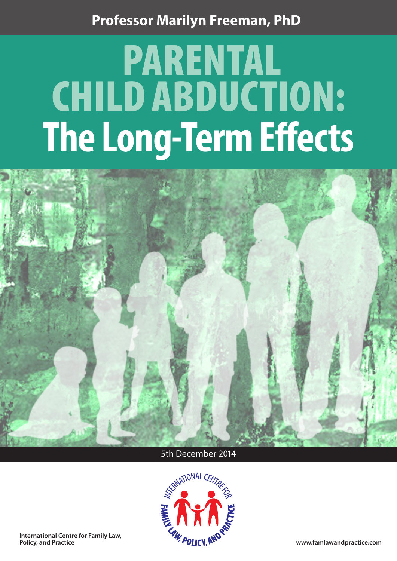# **Professor Marilyn Freeman, PhD**

# PARENTAL CHILD ABDUCTION: **The Long-Term Effects**



5th December 2014



**International Centre for Family Law, Policy, and Practice**

**www.famlawandpractice.com**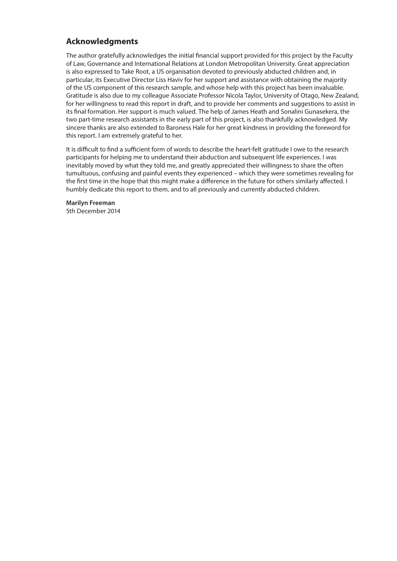# **Acknowledgments**

The author gratefully acknowledges the initial financial support provided for this project by the Faculty of Law, Governance and International Relations at London Metropolitan University. Great appreciation is also expressed to Take Root, a US organisation devoted to previously abducted children and, in particular, its Executive Director Liss Haviv for her support and assistance with obtaining the majority of the US component of this research sample, and whose help with this project has been invaluable. Gratitude is also due to my colleague Associate Professor Nicola Taylor, University of Otago, New Zealand, for her willingness to read this report in draft, and to provide her comments and suggestions to assist in its final formation. Her support is much valued. The help of James Heath and Sonalini Gunasekera, the two part-time research assistants in the early part of this project, is also thankfully acknowledged. My sincere thanks are also extended to Baroness Hale for her great kindness in providing the foreword for this report. I am extremely grateful to her.

It is difficult to find a sufficient form of words to describe the heart-felt gratitude I owe to the research participants for helping me to understand their abduction and subsequent life experiences. I was inevitably moved by what they told me, and greatly appreciated their willingness to share the often tumultuous, confusing and painful events they experienced – which they were sometimes revealing for the first time in the hope that this might make a difference in the future for others similarly affected. I humbly dedicate this report to them, and to all previously and currently abducted children.

**Marilyn Freeman** 5th December 2014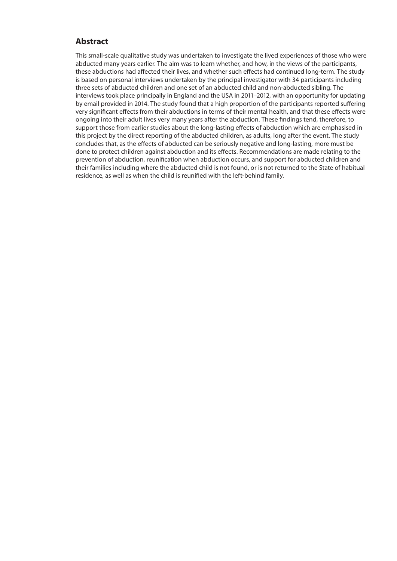# **Abstract**

This small-scale qualitative study was undertaken to investigate the lived experiences of those who were abducted many years earlier. The aim was to learn whether, and how, in the views of the participants, these abductions had affected their lives, and whether such effects had continued long-term. The study is based on personal interviews undertaken by the principal investigator with 34 participants including three sets of abducted children and one set of an abducted child and non-abducted sibling. The interviews took place principally in England and the USA in 2011–2012, with an opportunity for updating by email provided in 2014. The study found that a high proportion of the participants reported suffering very significant effects from their abductions in terms of their mental health, and that these effects were ongoing into their adult lives very many years after the abduction. These findings tend, therefore, to support those from earlier studies about the long-lasting effects of abduction which are emphasised in this project by the direct reporting of the abducted children, as adults, long after the event. The study concludes that, as the effects of abducted can be seriously negative and long-lasting, more must be done to protect children against abduction and its effects. Recommendations are made relating to the prevention of abduction, reunification when abduction occurs, and support for abducted children and their families including where the abducted child is not found, or is not returned to the State of habitual residence, as well as when the child is reunified with the left-behind family.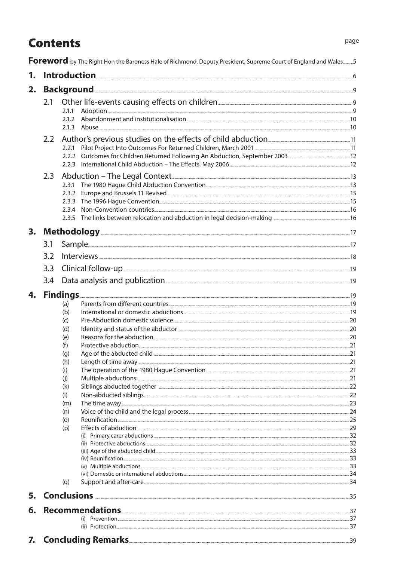# **Contents**

|    |                       |              | Foreword by The Right Hon the Baroness Hale of Richmond, Deputy President, Supreme Court of England and Wales5                                                                                                                                                                                                                                                                                |       |
|----|-----------------------|--------------|-----------------------------------------------------------------------------------------------------------------------------------------------------------------------------------------------------------------------------------------------------------------------------------------------------------------------------------------------------------------------------------------------|-------|
| 1. |                       |              |                                                                                                                                                                                                                                                                                                                                                                                               |       |
| 2. |                       |              |                                                                                                                                                                                                                                                                                                                                                                                               |       |
|    | 2.1                   |              | Other life-events causing effects on children <b>Exercise 2018</b> 2011 11:00 PM                                                                                                                                                                                                                                                                                                              |       |
|    |                       | 2.1.1        |                                                                                                                                                                                                                                                                                                                                                                                               |       |
|    |                       | 2.1.2        |                                                                                                                                                                                                                                                                                                                                                                                               |       |
|    |                       |              |                                                                                                                                                                                                                                                                                                                                                                                               |       |
|    | 2.2                   |              |                                                                                                                                                                                                                                                                                                                                                                                               |       |
|    |                       |              |                                                                                                                                                                                                                                                                                                                                                                                               |       |
|    |                       |              |                                                                                                                                                                                                                                                                                                                                                                                               |       |
|    |                       |              |                                                                                                                                                                                                                                                                                                                                                                                               |       |
|    | 2.3                   |              | Abduction – The Legal Context 2008 2008 2014 13                                                                                                                                                                                                                                                                                                                                               |       |
|    |                       |              |                                                                                                                                                                                                                                                                                                                                                                                               |       |
|    |                       |              |                                                                                                                                                                                                                                                                                                                                                                                               |       |
|    |                       |              | 2.3.3 The 1996 Hague Convention 2008 and 2.3.3 The 1996 Hague Convention 2008 and 2.3.3 The 1996 Hague Convention 2.5 Automatic 2.5 Automatic 2.5 Automatic 2.5 Automatic 2.5 Automatic 2.5 Automatic 2.5 Automatic 2.5 Automa                                                                                                                                                                |       |
|    |                       | 2.3.4        | Non-Convention countries 2000 and 2000 and 2000 and 2000 and 2000 and 2000 and 2000 and 2000 and 2000 and 200                                                                                                                                                                                                                                                                                 |       |
|    |                       |              |                                                                                                                                                                                                                                                                                                                                                                                               |       |
| 3. | <b>Methodology</b> 17 |              |                                                                                                                                                                                                                                                                                                                                                                                               |       |
|    | 3.1                   |              | Sample 17                                                                                                                                                                                                                                                                                                                                                                                     |       |
|    | 3.2                   |              | $\blacksquare \textsf{nterviews} \textsf{} \textsf{} \textsf{} \textsf{} \textsf{} \textsf{} \textsf{} \textsf{} \textsf{} \textsf{} \textsf{} \textsf{} \textsf{} \textsf{} \textsf{} \textsf{} \textsf{} \textsf{} \textsf{} \textsf{} \textsf{} \textsf{} \textsf{} \textsf{} \textsf{} \textsf{} \textsf{} \textsf{} \textsf{} \textsf{} \textsf{} \textsf{} \textsf{} \textsf{} \textsf$ |       |
|    | 3.3 <sub>2</sub>      |              |                                                                                                                                                                                                                                                                                                                                                                                               |       |
|    | 3.4                   |              | Data analysis and publication 2000 and the subset of the state of the state of the state of the state of the state of the state of the state of the state of the state of the state of the state of the state of the state of                                                                                                                                                                 |       |
|    |                       |              |                                                                                                                                                                                                                                                                                                                                                                                               |       |
| 4. |                       |              |                                                                                                                                                                                                                                                                                                                                                                                               |       |
|    |                       | (a)          |                                                                                                                                                                                                                                                                                                                                                                                               |       |
|    |                       | (b)          | Pre-Abduction domestic violence 20 network and the control of the control of the control of the control of the                                                                                                                                                                                                                                                                                |       |
|    |                       | (c)<br>(d)   |                                                                                                                                                                                                                                                                                                                                                                                               |       |
|    |                       | (e)          | Reasons for the abduction 20 network and the set of the abduction and the set of the abduction and the set of the set of the set of the set of the set of the set of the set of the set of the set of the set of the set of th                                                                                                                                                                |       |
|    |                       | (f)          | Protective abduction 21                                                                                                                                                                                                                                                                                                                                                                       |       |
|    |                       | (g)          |                                                                                                                                                                                                                                                                                                                                                                                               |       |
|    |                       | (h)          |                                                                                                                                                                                                                                                                                                                                                                                               |       |
|    |                       | (i)          | The operation of the 1980 Hague Convention [11] [12] The operation of the 1980 Hague Convention [12] The operation of the 1980 Hague Convention [12] The operation of the 1980 Hague Convention [12] The operation of the stat                                                                                                                                                                | 21    |
|    |                       | (i)          |                                                                                                                                                                                                                                                                                                                                                                                               |       |
|    |                       | (k)          |                                                                                                                                                                                                                                                                                                                                                                                               |       |
|    |                       | $($ l<br>(m) |                                                                                                                                                                                                                                                                                                                                                                                               | $-23$ |
|    |                       | (n)          |                                                                                                                                                                                                                                                                                                                                                                                               |       |
|    |                       | (o)          | Reunification 25                                                                                                                                                                                                                                                                                                                                                                              |       |
|    |                       | (p)          |                                                                                                                                                                                                                                                                                                                                                                                               |       |
|    |                       |              | (i) Primary carer abductions 22                                                                                                                                                                                                                                                                                                                                                               |       |
|    |                       |              | (ii) Protective abductions 22                                                                                                                                                                                                                                                                                                                                                                 |       |
|    |                       |              | (iii) Age of the abducted child 233                                                                                                                                                                                                                                                                                                                                                           |       |
|    |                       |              |                                                                                                                                                                                                                                                                                                                                                                                               |       |
|    |                       |              | (vi) Domestic or international abductions 24 and 2008 and 2008 and 2008 and 2008 and 2008 and 2008 and 2008 and 2008 and 2008 and 2008 and 2008 and 2008 and 2008 and 2008 and 2008 and 2008 and 2008 and 2008 and 2008 and 20                                                                                                                                                                |       |
|    |                       | (q)          |                                                                                                                                                                                                                                                                                                                                                                                               | 34    |
| 5. |                       |              |                                                                                                                                                                                                                                                                                                                                                                                               |       |
| 6. |                       |              | Recommendations 37                                                                                                                                                                                                                                                                                                                                                                            |       |
|    |                       |              | (i) Prevention 37                                                                                                                                                                                                                                                                                                                                                                             |       |
|    |                       |              |                                                                                                                                                                                                                                                                                                                                                                                               |       |
|    |                       |              | <b>7. Concluding Remarks</b> 39                                                                                                                                                                                                                                                                                                                                                               |       |
|    |                       |              |                                                                                                                                                                                                                                                                                                                                                                                               |       |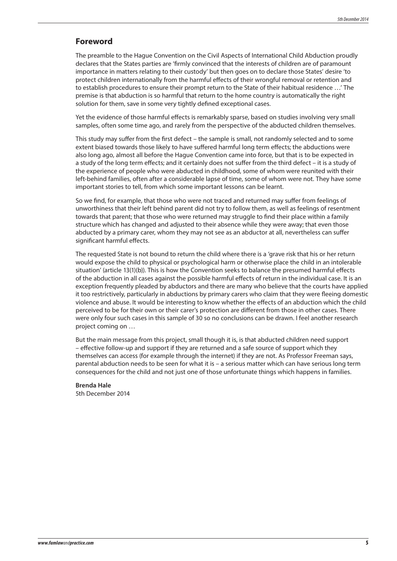## **Foreword**

The preamble to the Hague Convention on the Civil Aspects of International Child Abduction proudly declares that the States parties are 'firmly convinced that the interests of children are of paramount importance in matters relating to their custody' but then goes on to declare those States' desire 'to protect children internationally from the harmful effects of their wrongful removal or retention and to establish procedures to ensure their prompt return to the State of their habitual residence …' The premise is that abduction is so harmful that return to the home country is automatically the right solution for them, save in some very tightly defined exceptional cases.

Yet the evidence of those harmful effects is remarkably sparse, based on studies involving very small samples, often some time ago, and rarely from the perspective of the abducted children themselves.

This study may suffer from the first defect – the sample is small, not randomly selected and to some extent biased towards those likely to have suffered harmful long term effects; the abductions were also long ago, almost all before the Hague Convention came into force, but that is to be expected in a study of the long term effects; and it certainly does not suffer from the third defect – it is a study of the experience of people who were abducted in childhood, some of whom were reunited with their left-behind families, often after a considerable lapse of time, some of whom were not. They have some important stories to tell, from which some important lessons can be learnt.

So we find, for example, that those who were not traced and returned may suffer from feelings of unworthiness that their left behind parent did not try to follow them, as well as feelings of resentment towards that parent; that those who were returned may struggle to find their place within a family structure which has changed and adjusted to their absence while they were away; that even those abducted by a primary carer, whom they may not see as an abductor at all, nevertheless can suffer significant harmful effects.

The requested State is not bound to return the child where there is a 'grave risk that his or her return would expose the child to physical or psychological harm or otherwise place the child in an intolerable situation' (article 13(1)(b)). This is how the Convention seeks to balance the presumed harmful effects of the abduction in all cases against the possible harmful effects of return in the individual case. It is an exception frequently pleaded by abductors and there are many who believe that the courts have applied it too restrictively, particularly in abductions by primary carers who claim that they were fleeing domestic violence and abuse. It would be interesting to know whether the effects of an abduction which the child perceived to be for their own or their carer's protection are different from those in other cases. There were only four such cases in this sample of 30 so no conclusions can be drawn. I feel another research project coming on …

But the main message from this project, small though it is, is that abducted children need support – effective follow-up and support if they are returned and a safe source of support which they themselves can access (for example through the internet) if they are not. As Professor Freeman says, parental abduction needs to be seen for what it is – a serious matter which can have serious long term consequences for the child and not just one of those unfortunate things which happens in families.

#### **Brenda Hale** 5th December 2014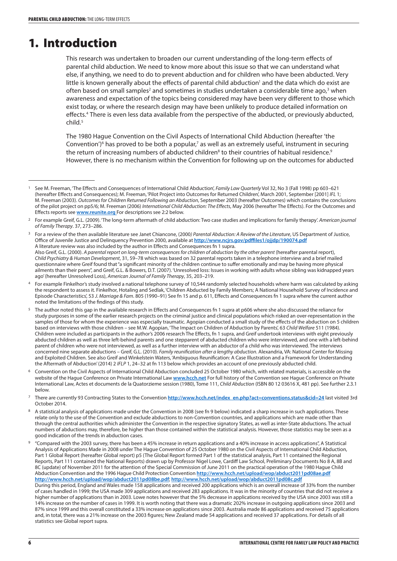# 1. Introduction

This research was undertaken to broaden our current understanding of the long-term effects of parental child abduction. We need to know more about this issue so that we can understand what else, if anything, we need to do to prevent abduction and for children who have been abducted. Very little is known generally about the effects of parental child abduction<sup>1</sup> and the data which do exist are often based on small samples<sup>2</sup> and sometimes in studies undertaken a considerable time ago,<sup>3</sup> when awareness and expectation of the topics being considered may have been very different to those which exist today, or where the research design may have been unlikely to produce detailed information on effects.4 There is even less data available from the perspective of the abducted, or previously abducted, child.<sup>5</sup>

The 1980 Hague Convention on the Civil Aspects of International Child Abduction (hereafter 'the Convention')<sup>6</sup> has proved to be both a popular,<sup>7</sup> as well as an extremely useful, instrument in securing the return of increasing numbers of abducted children $^8$  to their countries of habitual residence. $^8$ However, there is no mechanism within the Convention for following up on the outcomes for abducted

statistics see Global report supra.

<sup>1</sup> See M. Freeman, 'The Effects and Consequences of International Child Abduction', *Family Law Quarterly* Vol 32, No 3 (Fall 1998) pp 603–621 (hereafter Effects and Consequences); M. Freeman, 'Pilot Project into Outcomes for Returned Children', March 2001, September [2001] *IFL* 1; M. Freeman (2003). *Outcomes for Children Returned Following an Abduction*, September 2003 (hereafter Outcomes) which contains the conclusions of the pilot project on pp5/6; M. Freeman (2006) *International Child Abduction: The Effects*, May 2006 (hereafter The Effects). For the Outcomes and Effects reports see **www.reunite.org** For descriptions see 2:2 below.

<sup>2</sup> For example Greif, G.L. (2009). 'The long-term aftermath of child abduction: Two case studies and implications for family therapy'. *American journal of Family Therapy*. 37, 273–286.

<sup>3</sup> For a review of the then available literature see Janet Chiancone, (2000*) Parental Abduction: A Review of the Literature*, US Department of Justice, Office of Juvenile Justice and Delinquency Prevention 2000, available at **http://www.ncjrs.gov/pdffiles1/ojjdp/190074.pdf** A literature review was also included by the author in Effects and Consequences fn 1 supra. Also Greif, G.L. (2000). *A parental report on long-term consequences for children of abduction by the other parent* (hereafter parental report), *Child Psychiatry & Human Development*, 31, 59–78 which was based on 32 parental reports taken in a telephone interview and a brief mailed questionnaire where Greif found that "a significant minority of the children continue to suffer emotionally and may be having more physical ailments than their peers", and Greif, G.L. & Bowers, D.T. (2007). 'Unresolved loss: Issues in working with adults whose sibling was kidnapped years ago' (hereafter Unresolved Loss), *American Journal of Family Therapy*, 35, 203–219.

<sup>4</sup> For example Finkelhor's study involved a national telephone survey of 10,544 randomly selected households where harm was calculated by asking the respondent to assess it. Finkelhor, Hotaling and Sedlak, 'Children Abducted by Family Members; A National Household Survey of Incidence and Episode Characteristics', 53 *J. Marriage & Fam*. 805 (1990–91) See fn 15 and p. 611, Effects and Consequences fn 1 supra where the current author noted the limitations of the findings of this study.

<sup>5</sup> The author noted this gap in the available research in Effects and Consequences fn 1 supra at p606 where she also discussed the reliance for study purposes in some of the earlier research projects on the criminal justice and clinical populations which risked an over-representation in the samples of those for whom the experience was especially traumatic. Agopian conducted a small study of the effects of the abduction on 5 children based on interviews with those children – see M.W. Agopian, 'The Impact on Children of Abduction by Parents', 63 *Child Welfare* 511 (1984). Children were included as participants in the author's 2006 research The Effects, fn 1 supra, and Greif undertook interviews with eight previously abducted children as well as three left-behind parents and one stepparent of abducted children who were interviewed, and one with a left-behind parent of children who were not interviewed, as well as a further interview with an abductor of a child who was interviewed. The interviews concerned nine separate abductions – Greif, G.L. (2010). *Family reunification after a lengthy abduction*. Alexandria, VA: National Center for Missing and Exploited Children. See also Greif and Winkelstein Waters, 'Ambiguous Reunification: A Case Illustration and a Framework for Understanding the Aftermath of Abduction' (2014) 2 *IFLP* 1, 24–32 at fn 113 below which provides an account of one previously abducted child.

<sup>6</sup> Convention on the Civil Aspects of International Child Abduction concluded 25 October 1980 which, with related materials, is accessible on the website of the Hague Conference on Private International Law **www.hcch.net** For full history of the Convention see Hague Conference on Private International Law, Actes et documents de la Quatorzieme session (1980), Tome 111, *Child Abduction* (ISBN 80 12 03616 X, 481 pp). See further 2.3.1 below.

There are currently 93 Contracting States to the Convention http://www.hcch.net/index\_en.php?act=conventions.status&cid=24 last visited 3rd October 2014.

<sup>8</sup> A statistical analysis of applications made under the Convention in 2008 (see fn 9 below) indicated a sharp increase in such applications. These relate only to the use of the Convention and exclude abductions to non-Convention countries, and applications which are made other than through the central authorities which administer the Convention in the respective signatory States, as well as inter-State abductions. The actual numbers of abductions may, therefore, be higher than those contained within the statistical analysis. However, those statistics may be seen as a good indication of the trends in abduction cases.

<sup>9</sup> "Compared with the 2003 survey, there has been a 45% increase in return applications and a 40% increase in access applications", A Statistical Analysis of Applications Made in 2008 under The Hague Convention of 25 October 1980 on the Civil Aspects of International Child Abduction, Part 1 Global Report (hereafter Global report) p5 (The Global Report formed Part 1 of the statistical analysis, Part 11 contained the Regional Reports, Part 111 contained the National Reports) drawn up by Professor Nigel Lowe, Cardiff Law School, Preliminary Documents No 8 A, 8B and 8C (update) of November 2011 for the attention of the Special Commission of June 2011 on the practical operation of the 1980 Hague Child Abduction Convention and the 1996 Hague Child Protection Convention **http://www.hcch.net/upload/wop/abduct2011pd08ae.pdf http://www.hcch.net/upload/wop/abduct2011pd08be.pdf**; **http://www.hcch.net/upload/wop/abduct2011pd08c.pdf** During this period, England and Wales made 158 applications and received 200 applications which is an overall increase of 33% from the number of cases handled in 1999; the USA made 309 applications and received 283 applications. It was in the minority of countries that did not receive a higher number of applications than in 2003. Lowe notes however that the 5% decrease in applications received by the USA since 2003 was still a 14% increase on the number of cases in 1999. It is worth noting that there was a dramatic 202% increase in outgoing applications since 2003 and 87% since 1999 and this overall constituted a 33% increase on applications since 2003. Australia made 86 applications and received 75 applications and, in total, there was a 21% increase on the 2003 figures; New Zealand made 54 applications and received 37 applications. For details of all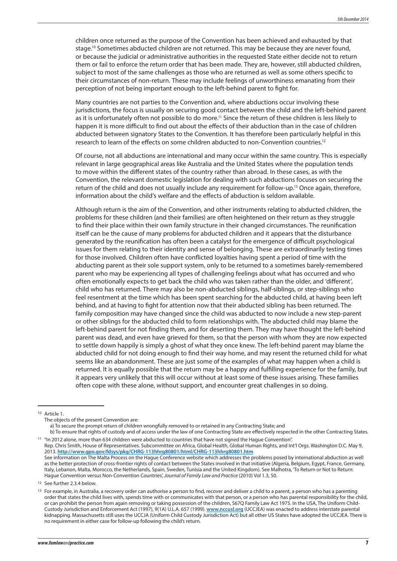children once returned as the purpose of the Convention has been achieved and exhausted by that stage.<sup>10</sup> Sometimes abducted children are not returned. This may be because they are never found, or because the judicial or administrative authorities in the requested State either decide not to return them or fail to enforce the return order that has been made. They are, however, still abducted children, subject to most of the same challenges as those who are returned as well as some others specific to their circumstances of non-return. These may include feelings of unworthiness emanating from their perception of not being important enough to the left-behind parent to fight for.

Many countries are not parties to the Convention and, where abductions occur involving these jurisdictions, the focus is usually on securing good contact between the child and the left-behind parent as it is unfortunately often not possible to do more.<sup>11</sup> Since the return of these children is less likely to happen it is more difficult to find out about the effects of their abduction than in the case of children abducted between signatory States to the Convention. It has therefore been particularly helpful in this research to learn of the effects on some children abducted to non-Convention countries.12

Of course, not all abductions are international and many occur within the same country. This is especially relevant in large geographical areas like Australia and the United States where the population tends to move within the different states of the country rather than abroad. In these cases, as with the Convention, the relevant domestic legislation for dealing with such abductions focuses on securing the return of the child and does not usually include any requirement for follow-up.13 Once again, therefore, information about the child's welfare and the effects of abduction is seldom available.

Although return is the aim of the Convention, and other instruments relating to abducted children, the problems for these children (and their families) are often heightened on their return as they struggle to find their place within their own family structure in their changed circumstances. The reunification itself can be the cause of many problems for abducted children and it appears that the disturbance generated by the reunification has often been a catalyst for the emergence of difficult psychological issues for them relating to their identity and sense of belonging. These are extraordinarily testing times for those involved. Children often have conflicted loyalties having spent a period of time with the abducting parent as their sole support system, only to be returned to a sometimes barely-remembered parent who may be experiencing all types of challenging feelings about what has occurred and who often emotionally expects to get back the child who was taken rather than the older, and 'different', child who has returned. There may also be non-abducted siblings, half-siblings, or step-siblings who feel resentment at the time which has been spent searching for the abducted child, at having been left behind, and at having to fight for attention now that their abducted sibling has been returned. The family composition may have changed since the child was abducted to now include a new step-parent or other siblings for the abducted child to form relationships with. The abducted child may blame the left-behind parent for not finding them, and for deserting them. They may have thought the left-behind parent was dead, and even have grieved for them, so that the person with whom they are now expected to settle down happily is simply a ghost of what they once knew. The left-behind parent may blame the abducted child for not doing enough to find their way home, and may resent the returned child for what seems like an abandonment. These are just some of the examples of what may happen when a child is returned. It is equally possible that the return may be a happy and fulfilling experience for the family, but it appears very unlikely that this will occur without at least some of these issues arising. These families often cope with these alone, without support, and encounter great challenges in so doing.

a) To secure the prompt return of children wrongfully removed to or retained in any Contracting State; and

Rep. Chris Smith, House of Representatives. Subcommittee on Africa, Global Health, Global Human Rights, and Int'l Orgs. Washington D.C. May 9, 2013. **http://www.gpo.gov/fdsys/pkg/CHRG-113hhrg80801/html/CHRG-113hhrg80801.htm**

See information on The Malta Process on the Hague Conference website which addresses the problems posed by international abduction as well as the better protection of cross-frontier rights of contact between the States involved in that initiative (Algeria, Belgium, Egypt, France, Germany, Italy, Lebanon, Malta, Morocco, the Netherlands, Spain, Sweden, Tunisia and the United Kingdom). See Malhotra, 'To Return or Not to Return: Hague Convention versus Non-Convention Countries', *Journal of Family Law and Practice* (2010) Vol 1.3, 50.

<sup>10</sup> Article 1.

The objects of the present Convention are:

b) To ensure that rights of custody and of access under the law of one Contracting State are effectively respected in the other Contracting States. <sup>11</sup> "In 2012 alone, more than 634 children were abducted to countries that have not signed the Hague Convention".

<sup>12</sup> See further 2.3.4 below.

<sup>&</sup>lt;sup>13</sup> For example, in Australia, a recovery order can authorise a person to find, recover and deliver a child to a parent, a person who has a parenting order that states the child lives with, spends time with or communicates with that person, or a person who has parental responsibility for the child, or can prohibit the person from again removing or taking possession of the children, S67Q Family Law Act 1975. In the USA, The Uniform Child-Custody Jurisdiction and Enforcement Act (1997), 9(1A) U.L.A. 657 (1999). **www.nccusl.org** (UCCJEA) was enacted to address interstate parental kidnapping. Massachusetts still uses the UCCJA (Uniform Child Custody Jurisdiction Act) but all other US States have adopted the UCCJEA. There is no requirement in either case for follow-up following the child's return.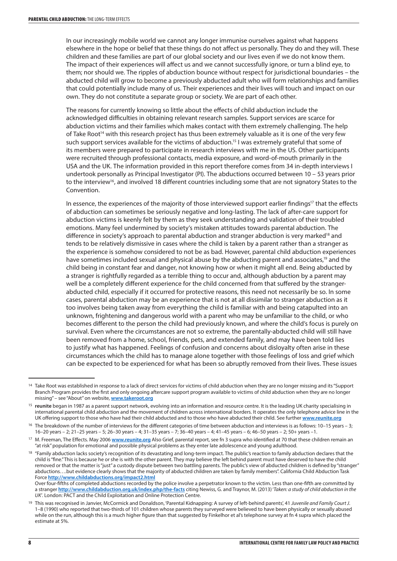In our increasingly mobile world we cannot any longer immunise ourselves against what happens elsewhere in the hope or belief that these things do not affect us personally. They do and they will. These children and these families are part of our global society and our lives even if we do not know them. The impact of their experiences will affect us and we cannot successfully ignore, or turn a blind eye, to them; nor should we. The ripples of abduction bounce without respect for jurisdictional boundaries – the abducted child will grow to become a previously abducted adult who will form relationships and families that could potentially include many of us. Their experiences and their lives will touch and impact on our own. They do not constitute a separate group or society. We are part of each other.

The reasons for currently knowing so little about the effects of child abduction include the acknowledged difficulties in obtaining relevant research samples. Support services are scarce for abduction victims and their families which makes contact with them extremely challenging. The help of Take Root<sup>14</sup> with this research project has thus been extremely valuable as it is one of the very few such support services available for the victims of abduction.<sup>15</sup> I was extremely grateful that some of its members were prepared to participate in research interviews with me in the US. Other participants were recruited through professional contacts, media exposure, and word-of-mouth primarily in the USA and the UK. The information provided in this report therefore comes from 34 in-depth interviews I undertook personally as Principal Investigator (PI). The abductions occurred between 10 – 53 years prior to the interview<sup>16</sup>, and involved 18 different countries including some that are not signatory States to the Convention.

In essence, the experiences of the majority of those interviewed support earlier findings<sup>17</sup> that the effects of abduction can sometimes be seriously negative and long-lasting. The lack of after-care support for abduction victims is keenly felt by them as they seek understanding and validation of their troubled emotions. Many feel undermined by society's mistaken attitudes towards parental abduction. The difference in society's approach to parental abduction and stranger abduction is very marked<sup>18</sup> and tends to be relatively dismissive in cases where the child is taken by a parent rather than a stranger as the experience is somehow considered to not be as bad. However, parental child abduction experiences have sometimes included sexual and physical abuse by the abducting parent and associates,<sup>19</sup> and the child being in constant fear and danger, not knowing how or when it might all end. Being abducted by a stranger is rightfully regarded as a terrible thing to occur and, although abduction by a parent may well be a completely different experience for the child concerned from that suffered by the strangerabducted child, especially if it occurred for protective reasons, this need not necessarily be so. In some cases, parental abduction may be an experience that is not at all dissimilar to stranger abduction as it too involves being taken away from everything the child is familiar with and being catapulted into an unknown, frightening and dangerous world with a parent who may be unfamiliar to the child, or who becomes different to the person the child had previously known, and where the child's focus is purely on survival. Even where the circumstances are not so extreme, the parentally-abducted child will still have been removed from a home, school, friends, pets, and extended family, and may have been told lies to justify what has happened. Feelings of confusion and concerns about disloyalty often arise in these circumstances which the child has to manage alone together with those feelings of loss and grief which can be expected to be experienced for what has been so abruptly removed from their lives. These issues

<sup>&</sup>lt;sup>14</sup> Take Root was established in response to a lack of direct services for victims of child abduction when they are no longer missing and its "Support Branch Program provides the first and only ongoing aftercare support program available to victims of child abduction when they are no longer missing" – see "About" on website, **www.takeroot.org**

<sup>15</sup> **reunite** began in 1987 as a parent support network, evolving into an information and resource centre. It is the leading UK charity specialising in international parental child abduction and the movement of children across international borders. It operates the only telephone advice line in the UK offering support to those who have had their child abducted and to those who have abducted their child. See further **www.reunite.org**

<sup>&</sup>lt;sup>16</sup> The breakdown of the number of interviews for the different categories of time between abduction and interviews is as follows: 10-15 years - 3; 16–20 years – 2; 21–25 years – 5; 26–30 years – 4; 31–35 years – 7; 36–40 years – 4; 41–45 years – 6; 46–50 years – 2; 50+ years –1.

<sup>17</sup> M. Freeman, The Effects. May 2006 **www.reunite.org** Also Grief, parental report, see fn 3 supra who identified at 70 that these children remain an "at risk" population for emotional and possible physical problems as they enter late adolescence and young adulthood.

<sup>&</sup>lt;sup>18</sup> "Family abduction lacks society's recognition of its devastating and long-term impact. The public's reaction to family abduction declares that the child is "fine." This is because he or she is with the other parent. They may believe the left behind parent must have deserved to have the child removed or that the matter is "just" a custody dispute between two battling parents. The public's view of abducted children is defined by "stranger" abductions….but evidence clearly shows that the majority of abducted children are taken by family members". California Child Abduction Task Force **http://www.childabductions.org/impact2.html**

Over four-fifths of completed abductions recorded by the police involve a perpetrator known to the victim. Less than one-fifth are committed by a stranger **http://www.childabduction.org.uk/index.php/the-facts** citing Newiss, G. and Traynor, M. (2013) '*Taken: a study of child abduction in the UK'*. London: PACT and the Child Exploitation and Online Protection Centre.

<sup>19</sup> This was recognised in Janvier, McCormick and Donaldson, 'Parental Kidnapping: A survey of left-behind parents', 41 *Juvenile and Family Court J*. 1–8 (1990) who reported that two-thirds of 101 children whose parents they surveyed were believed to have been physically or sexually abused while on the run, although this is a much higher figure than that suggested by Finkelhor et al's telephone survey at fn 4 supra which placed the estimate at 5%.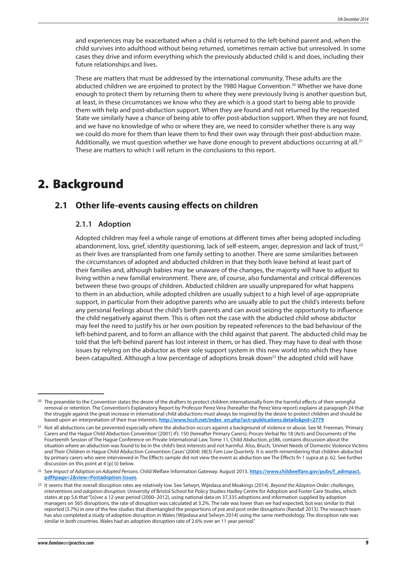and experiences may be exacerbated when a child is returned to the left-behind parent and, when the child survives into adulthood without being returned, sometimes remain active but unresolved. In some cases they drive and inform everything which the previously abducted child is and does, including their future relationships and lives.

These are matters that must be addressed by the international community. These adults are the abducted children we are enjoined to protect by the 1980 Hague Convention.<sup>20</sup> Whether we have done enough to protect them by returning them to where they were previously living is another question but, at least, in these circumstances we know who they are which is a good start to being able to provide them with help and post-abduction support. When they are found and not returned by the requested State we similarly have a chance of being able to offer post-abduction support. When they are not found, and we have no knowledge of who or where they are, we need to consider whether there is any way we could do more for them than leave them to find their own way through their post-abduction maze. Additionally, we must question whether we have done enough to prevent abductions occurring at all.<sup>21</sup> These are matters to which I will return in the conclusions to this report.

# 2. Background

# **2.1 Other life-events causing effects on children**

## **2.1.1 Adoption**

Adopted children may feel a whole range of emotions at different times after being adopted including abandonment, loss, grief, identity questioning, lack of self-esteem, anger, depression and lack of trust,<sup>22</sup> as their lives are transplanted from one family setting to another. There are some similarities between the circumstances of adopted and abducted children in that they both leave behind at least part of their families and, although babies may be unaware of the changes, the majority will have to adjust to living within a new familial environment. There are, of course, also fundamental and critical differences between these two groups of children. Abducted children are usually unprepared for what happens to them in an abduction, while adopted children are usually subject to a high level of age-appropriate support, in particular from their adoptive parents who are usually able to put the child's interests before any personal feelings about the child's birth parents and can avoid seizing the opportunity to influence the child negatively against them. This is often not the case with the abducted child whose abductor may feel the need to justify his or her own position by repeated references to the bad behaviour of the left-behind parent, and to form an alliance with the child against that parent. The abducted child may be told that the left-behind parent has lost interest in them, or has died. They may have to deal with those issues by relying on the abductor as their sole support system in this new world into which they have been catapulted. Although a low percentage of adoptions break down<sup>23</sup> the adopted child will have

<sup>&</sup>lt;sup>20</sup> The preamble to the Convention states the desire of the drafters to protect children internationally from the harmful effects of their wrongful removal or retention. The Convention's Explanatory Report by Professor Perez Vera (hereafter the Perez Vera report) explains at paragraph 24 that the struggle against the great increase in international child abductions must always be inspired by the desire to protect children and should be based upon an interpretation of their true interests. **http://www.hcch.net/index\_en.php?act=publications.details&pid=2779**

<sup>&</sup>lt;sup>21</sup> Not all abductions can be prevented especially where the abduction occurs against a background of violence or abuse. See M. Freeman, 'Primary Carers and the Hague Child Abduction Convention' [2001] *IFL* 150 (hereafter Primary Carers); Proces-Verbal No 18 (Acts and Documents of the Fourteenth Session of The Hague Conference on Private International Law, Tome 11, Child Abduction, p386, contains discussion about the situation where an abduction was found to be in the child's best interests and not harmful. Also, Bruch, 'Unmet Needs of Domestic Violence Victims and Their Children in Hague Child Abduction Convention Cases' (2004) 38(3) *Fam Law Quarterly*. It is worth remembering that children abducted by primary carers who were interviewed in The Effects sample did not view the event as abduction see The Effects fn 1 supra at p. 62. See further discussion on this point at 4 (p) (i) below.

<sup>22</sup> See *Impact of Adoption on Adopted Persons*. Child Welfare Information Gateway. August 2013. **https://www.childwelfare.gov/pubs/f\_adimpact. pdf#page=2&view=Postadoption Issues**.

<sup>23</sup> It seems that the overall disruption rates are relatively low. See Selwyn, Wijedasa and Meakings (2014). *Beyond the Adoption Order: challenges, interventions and adoption disruption.* University of Bristol School for Policy Studies Hadley Centre for Adoption and Foster Care Studies, which states at pp 5,6 that "[o]ver a 12-year period (2000–2012), using national data on 37,335 adoptions and information supplied by adoption managers on 565 disruptions, the rate of disruption was calculated at 3.2%. The rate was lower than we had expected, but was similar to that reported (3.7%) in one of the few studies that disentangled the proportions of pre and post order disruptions (Randall 2013). The research team has also completed a study of adoption disruption in Wales (Wijedasa and Selwyn 2014) using the same methodology. The disruption rate was similar in both countries. Wales had an adoption disruption rate of 2.6% over an 11 year period."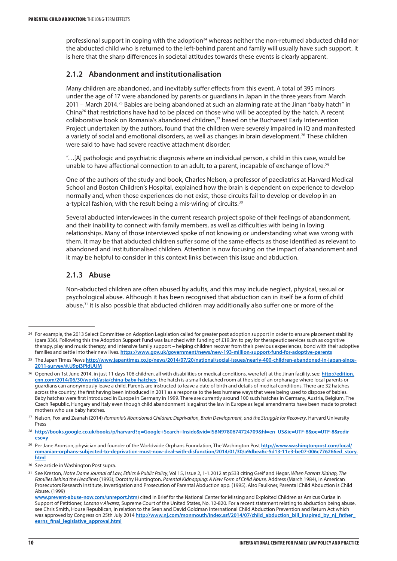professional support in coping with the adoption<sup>24</sup> whereas neither the non-returned abducted child nor the abducted child who is returned to the left-behind parent and family will usually have such support. It is here that the sharp differences in societal attitudes towards these events is clearly apparent.

## **2.1.2 Abandonment and institutionalisation**

Many children are abandoned, and inevitably suffer effects from this event. A total of 395 minors under the age of 17 were abandoned by parents or guardians in Japan in the three years from March 2011 – March 2014.<sup>25</sup> Babies are being abandoned at such an alarming rate at the Jinan "baby hatch" in China<sup>26</sup> that restrictions have had to be placed on those who will be accepted by the hatch. A recent collaborative book on Romania's abandoned children,<sup>27</sup> based on the Bucharest Early Intervention Project undertaken by the authors, found that the children were severely impaired in IQ and manifested a variety of social and emotional disorders, as well as changes in brain development.28 These children were said to have had severe reactive attachment disorder:

"…[A] pathologic and psychiatric diagnosis where an individual person, a child in this case, would be unable to have affectional connection to an adult, to a parent, incapable of exchange of love.<sup>29</sup>

One of the authors of the study and book, Charles Nelson, a professor of paediatrics at Harvard Medical School and Boston Children's Hospital, explained how the brain is dependent on experience to develop normally and, when those experiences do not exist, those circuits fail to develop or develop in an a-typical fashion, with the result being a mis-wiring of circuits.<sup>30</sup>

Several abducted interviewees in the current research project spoke of their feelings of abandonment, and their inability to connect with family members, as well as difficulties with being in loving relationships. Many of those interviewed spoke of not knowing or understanding what was wrong with them. It may be that abducted children suffer some of the same effects as those identified as relevant to abandoned and institutionalised children. Attention is now focusing on the impact of abandonment and it may be helpful to consider in this context links between this issue and abduction.

# **2.1.3 Abuse**

Non-abducted children are often abused by adults, and this may include neglect, physical, sexual or psychological abuse. Although it has been recognised that abduction can in itself be a form of child abuse,31 it is also possible that abducted children may additionally also suffer one or more of the

<sup>&</sup>lt;sup>24</sup> For example, the 2013 Select Committee on Adoption Legislation called for greater post adoption support in order to ensure placement stability (para 336). Following this the Adoption Support Fund was launched with funding of £19.3m to pay for therapeutic services such as cognitive therapy, play and music therapy, and intensive family support – helping children recover from their previous experiences, bond with their adoptive families and settle into their new lives. **https://www.gov.uk/government/news/new-193-million-support-fund-for-adoptive-parents**

<sup>&</sup>lt;sup>25</sup> The Japan Times News http://www.japantimes.co.jp/news/2014/07/20/national/social-issues/nearly-400-children-abandoned-in-japan-since-**2011-survey/#.U9pi3PldUUM**

<sup>26</sup> Opened on 1st June 2014, in just 11 days 106 children, all with disabilities or medical conditions, were left at the Jinan facility, see: **http://edition. cnn.com/2014/06/30/world/asia/china-baby-hatches-** the hatch is a small detached room at the side of an orphanage where local parents or guardians can anonymously leave a child. Parents are instructed to leave a date of birth and details of medical conditions. There are 32 hatches across the country, the first having been introduced in 2011 as a response to the less humane ways that were being used to dispose of babies. Baby hatches were first introduced in Europe in Germany in 1999. There are currently around 100 such hatches in Germany, Austria, Belgium, The Czech Republic, Hungary and Italy even though child abandonment is against the law in Europe as legal amendments have been made to protect mothers who use baby hatches.

<sup>27</sup> Nelson, Fox and Zeanah (2014) *Romania's Abandoned Children: Deprivation, Brain Development, and the Struggle for Recovery*. Harvard University Press

<sup>28</sup> **http://books.google.co.uk/books/p/harvard?q=Google+Search+Inside&vid=ISBN9780674724709&hl=en\_US&ie=UTF-8&oe=UTF-8&redir\_ esc=y**

<sup>29</sup> Per Jane Aronson, physician and founder of the Worldwide Orphans Foundation, The Washington Post **http://www.washingtonpost.com/local/ romanian-orphans-subjected-to-deprivation-must-now-deal-with-disfunction/2014/01/30/a9dbea6c-5d13-11e3-be07-006c776266ed\_story. html**

<sup>30</sup> See article in Washington Post supra.

<sup>31</sup> See Kreston, *Notre Dame Journal of Law, Ethics & Public Policy*, Vol 15, Issue 2, 1-1.2012 at p533 citing Greif and Hegar, *When Parents Kidnap, The Families Behind the Headlines* (1993); Dorothy Huntington, *Parental Kidnapping: A New Form of Child Abuse,* Address (March 1984), in American Prosecutors Research Institute, Investigation and Prosecution of Parental Abduction app. (1995). Also Faulkner, Parental Child Abduction is Child Abuse. (1999)

**www.prevent-abuse-now.com/unreport.htm**) cited in Brief for the National Center for Missing and Exploited Children as Amicus Curiae in Support of Petitioner, *Lozano v Alvarez*, Supreme Court of the United States, No. 12-820. For a recent statement relating to abduction being abuse, see Chris Smith, House Republican, in relation to the Sean and David Goldman International Child Abduction Prevention and Return Act which was approved by Congress on 25th July 2014 http://www.nj.com/monmouth/index.ssf/2014/07/child\_abduction\_bill\_inspired\_by\_nj\_father **earns\_final\_legislative\_approval.html**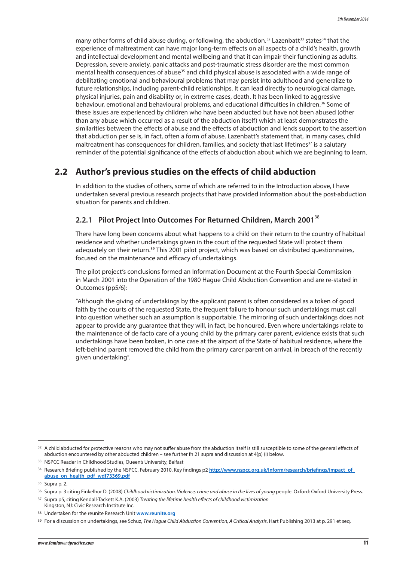many other forms of child abuse during, or following, the abduction.<sup>32</sup> Lazenbatt<sup>33</sup> states<sup>34</sup> that the experience of maltreatment can have major long-term effects on all aspects of a child's health, growth and intellectual development and mental wellbeing and that it can impair their functioning as adults. Depression, severe anxiety, panic attacks and post-traumatic stress disorder are the most common mental health consequences of abuse<sup>35</sup> and child physical abuse is associated with a wide range of debilitating emotional and behavioural problems that may persist into adulthood and generalize to future relationships, including parent-child relationships. It can lead directly to neurological damage, physical injuries, pain and disability or, in extreme cases, death. It has been linked to aggressive behaviour, emotional and behavioural problems, and educational difficulties in children.<sup>36</sup> Some of these issues are experienced by children who have been abducted but have not been abused (other than any abuse which occurred as a result of the abduction itself) which at least demonstrates the similarities between the effects of abuse and the effects of abduction and lends support to the assertion that abduction per se is, in fact, often a form of abuse. Lazenbatt's statement that, in many cases, child maltreatment has consequences for children, families, and society that last lifetimes<sup>37</sup> is a salutary reminder of the potential significance of the effects of abduction about which we are beginning to learn.

# **2.2 Author's previous studies on the effects of child abduction**

In addition to the studies of others, some of which are referred to in the Introduction above, I have undertaken several previous research projects that have provided information about the post-abduction situation for parents and children.

# **2.2.1 Pilot Project Into Outcomes For Returned Children, March 2001**<sup>38</sup>

There have long been concerns about what happens to a child on their return to the country of habitual residence and whether undertakings given in the court of the requested State will protect them adequately on their return.<sup>39</sup> This 2001 pilot project, which was based on distributed questionnaires, focused on the maintenance and efficacy of undertakings.

The pilot project's conclusions formed an Information Document at the Fourth Special Commission in March 2001 into the Operation of the 1980 Hague Child Abduction Convention and are re-stated in Outcomes (pp5/6):

"Although the giving of undertakings by the applicant parent is often considered as a token of good faith by the courts of the requested State, the frequent failure to honour such undertakings must call into question whether such an assumption is supportable. The mirroring of such undertakings does not appear to provide any guarantee that they will, in fact, be honoured. Even where undertakings relate to the maintenance of de facto care of a young child by the primary carer parent, evidence exists that such undertakings have been broken, in one case at the airport of the State of habitual residence, where the left-behind parent removed the child from the primary carer parent on arrival, in breach of the recently given undertaking".

<sup>&</sup>lt;sup>32</sup> A child abducted for protective reasons who may not suffer abuse from the abduction itself is still susceptible to some of the general effects of abduction encountered by other abducted children – see further fn 21 supra and discussion at 4(p) (i) below.

<sup>33</sup> NSPCC Reader in Childhood Studies, Queen's University, Belfast

<sup>&</sup>lt;sup>34</sup> Research Briefing published by the NSPCC, February 2010. Key findings p2 http://www.nspcc.org.uk/Inform/research/briefings/impact\_of **abuse\_on\_health\_pdf\_wdf73369.pdf**

<sup>35</sup> Supra p. 2.

<sup>36</sup> Supra p. 3 citing Finkelhor D. (2008) Childhood victimization. Violence, crime and abuse in the lives of young people. Oxford: Oxford University Press.

<sup>37</sup> Supra p5, citing Kendall-Tackett K.A. (2003) *Treating the lifetime health effects of childhood victimization*

Kingston, NJ: Civic Research Institute Inc. <sup>38</sup> Undertaken for the reunite Research Unit **www.reunite.org**

<sup>&</sup>lt;sup>39</sup> For a discussion on undertakings, see Schuz, *The Hague Child Abduction Convention*, *A Critical Analysis*, Hart Publishing 2013 at p. 291 et seg.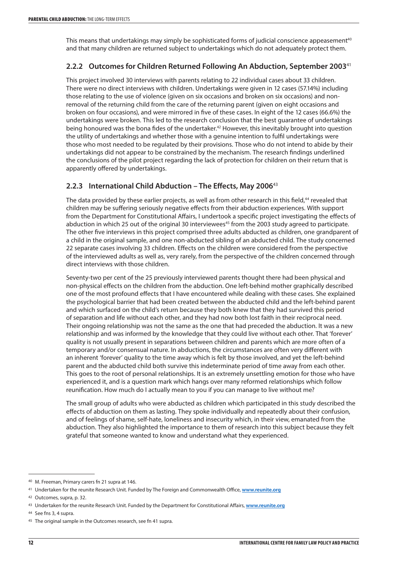This means that undertakings may simply be sophisticated forms of judicial conscience appeasement<sup>40</sup> and that many children are returned subject to undertakings which do not adequately protect them.

# **2.2.2 Outcomes for Children Returned Following An Abduction, September 2003**<sup>41</sup>

This project involved 30 interviews with parents relating to 22 individual cases about 33 children. There were no direct interviews with children. Undertakings were given in 12 cases (57.14%) including those relating to the use of violence (given on six occasions and broken on six occasions) and nonremoval of the returning child from the care of the returning parent (given on eight occasions and broken on four occasions), and were mirrored in five of these cases. In eight of the 12 cases (66.6%) the undertakings were broken. This led to the research conclusion that the best guarantee of undertakings being honoured was the bona fides of the undertaker.<sup>42</sup> However, this inevitably brought into question the utility of undertakings and whether those with a genuine intention to fulfil undertakings were those who most needed to be regulated by their provisions. Those who do not intend to abide by their undertakings did not appear to be constrained by the mechanism. The research findings underlined the conclusions of the pilot project regarding the lack of protection for children on their return that is apparently offered by undertakings.

# **2.2.3 International Child Abduction – The Effects, May 2006**<sup>43</sup>

The data provided by these earlier projects, as well as from other research in this field,<sup>44</sup> revealed that children may be suffering seriously negative effects from their abduction experiences. With support from the Department for Constitutional Affairs, I undertook a specific project investigating the effects of abduction in which 25 out of the original 30 interviewees<sup>45</sup> from the 2003 study agreed to participate. The other five interviews in this project comprised three adults abducted as children, one grandparent of a child in the original sample, and one non-abducted sibling of an abducted child. The study concerned 22 separate cases involving 33 children. Effects on the children were considered from the perspective of the interviewed adults as well as, very rarely, from the perspective of the children concerned through direct interviews with those children.

Seventy-two per cent of the 25 previously interviewed parents thought there had been physical and non-physical effects on the children from the abduction. One left-behind mother graphically described one of the most profound effects that I have encountered while dealing with these cases. She explained the psychological barrier that had been created between the abducted child and the left-behind parent and which surfaced on the child's return because they both knew that they had survived this period of separation and life without each other, and they had now both lost faith in their reciprocal need. Their ongoing relationship was not the same as the one that had preceded the abduction. It was a new relationship and was informed by the knowledge that they could live without each other. That 'forever' quality is not usually present in separations between children and parents which are more often of a temporary and/or consensual nature. In abductions, the circumstances are often very different with an inherent 'forever' quality to the time away which is felt by those involved, and yet the left-behind parent and the abducted child both survive this indeterminate period of time away from each other. This goes to the root of personal relationships. It is an extremely unsettling emotion for those who have experienced it, and is a question mark which hangs over many reformed relationships which follow reunification. How much do I actually mean to you if you can manage to live without me?

The small group of adults who were abducted as children which participated in this study described the effects of abduction on them as lasting. They spoke individually and repeatedly about their confusion, and of feelings of shame, self-hate, loneliness and insecurity which, in their view, emanated from the abduction. They also highlighted the importance to them of research into this subject because they felt grateful that someone wanted to know and understand what they experienced.

<sup>40</sup> M. Freeman, Primary carers fn 21 supra at 146.

<sup>41</sup> Undertaken for the reunite Research Unit. Funded by The Foreign and Commonwealth Office, **www.reunite.org**

<sup>42</sup> Outcomes, supra, p. 32.

<sup>43</sup> Undertaken for the reunite Research Unit. Funded by the Department for Constitutional Affairs, **www.reunite.org**

<sup>44</sup> See fns 3, 4 supra.

<sup>45</sup> The original sample in the Outcomes research, see fn 41 supra.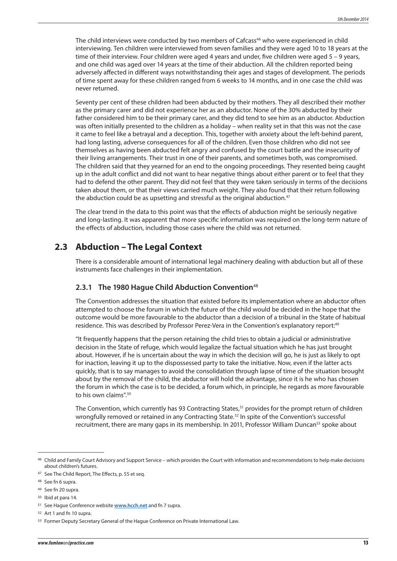The child interviews were conducted by two members of Cafcass<sup>46</sup> who were experienced in child interviewing. Ten children were interviewed from seven families and they were aged 10 to 18 years at the time of their interview. Four children were aged 4 years and under, five children were aged 5 – 9 years, and one child was aged over 14 years at the time of their abduction. All the children reported being adversely affected in different ways notwithstanding their ages and stages of development. The periods of time spent away for these children ranged from 6 weeks to 14 months, and in one case the child was never returned.

Seventy per cent of these children had been abducted by their mothers. They all described their mother as the primary carer and did not experience her as an abductor. None of the 30% abducted by their father considered him to be their primary carer, and they did tend to see him as an abductor. Abduction was often initially presented to the children as a holiday – when reality set in that this was not the case it came to feel like a betrayal and a deception. This, together with anxiety about the left-behind parent, had long lasting, adverse consequences for all of the children. Even those children who did not see themselves as having been abducted felt angry and confused by the court battle and the insecurity of their living arrangements. Their trust in one of their parents, and sometimes both, was compromised. The children said that they yearned for an end to the ongoing proceedings. They resented being caught up in the adult conflict and did not want to hear negative things about either parent or to feel that they had to defend the other parent. They did not feel that they were taken seriously in terms of the decisions taken about them, or that their views carried much weight. They also found that their return following the abduction could be as upsetting and stressful as the original abduction.<sup>47</sup>

The clear trend in the data to this point was that the effects of abduction might be seriously negative and long-lasting. It was apparent that more specific information was required on the long-term nature of the effects of abduction, including those cases where the child was not returned.

# **2.3 Abduction – The Legal Context**

There is a considerable amount of international legal machinery dealing with abduction but all of these instruments face challenges in their implementation.

## **2.3.1 The 1980 Hague Child Abduction Convention**<sup>48</sup>

The Convention addresses the situation that existed before its implementation where an abductor often attempted to choose the forum in which the future of the child would be decided in the hope that the outcome would be more favourable to the abductor than a decision of a tribunal in the State of habitual residence. This was described by Professor Perez-Vera in the Convention's explanatory report:49

"It frequently happens that the person retaining the child tries to obtain a judicial or administrative decision in the State of refuge, which would legalize the factual situation which he has just brought about. However, if he is uncertain about the way in which the decision will go, he is just as likely to opt for inaction, leaving it up to the dispossessed party to take the initiative. Now, even if the latter acts quickly, that is to say manages to avoid the consolidation through lapse of time of the situation brought about by the removal of the child, the abductor will hold the advantage, since it is he who has chosen the forum in which the case is to be decided, a forum which, in principle, he regards as more favourable to his own claims".50

The Convention, which currently has 93 Contracting States,<sup>51</sup> provides for the prompt return of children wrongfully removed or retained in any Contracting State.<sup>52</sup> In spite of the Convention's successful recruitment, there are many gaps in its membership. In 2011, Professor William Duncan<sup>53</sup> spoke about

<sup>46</sup> Child and Family Court Advisory and Support Service – which provides the Court with information and recommendations to help make decisions about children's futures.

<sup>47</sup> See The Child Report, The Effects, p. 55 et seq.

<sup>48</sup> See fn 6 supra.

<sup>49</sup> See fn 20 supra.

<sup>50</sup> Ibid at para 14.

<sup>51</sup> See Hague Conference website **www.hcch.net** and fn 7 supra.

<sup>52</sup> Art 1 and fn 10 supra.

<sup>53</sup> Former Deputy Secretary General of the Hague Conference on Private International Law.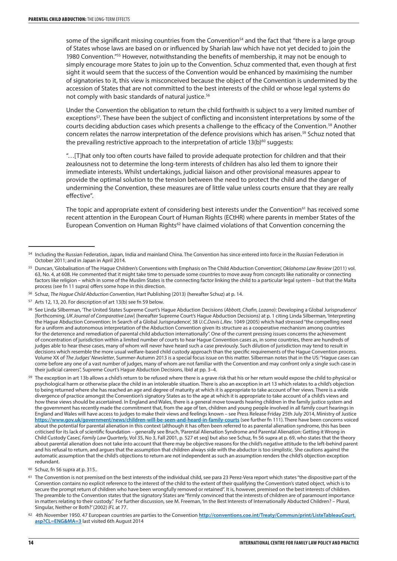some of the significant missing countries from the Convention<sup>54</sup> and the fact that "there is a large group of States whose laws are based on or influenced by Shariah law which have not yet decided to join the 1980 Convention."55 However, notwithstanding the benefits of membership, it may not be enough to simply encourage more States to join up to the Convention. Schuz commented that, even though at first sight it would seem that the success of the Convention would be enhanced by maximising the number of signatories to it, this view is misconceived because the object of the Convention is undermined by the accession of States that are not committed to the best interests of the child or whose legal systems do not comply with basic standards of natural justice.<sup>56</sup>

Under the Convention the obligation to return the child forthwith is subject to a very limited number of exceptions<sup>57</sup>. These have been the subject of conflicting and inconsistent interpretations by some of the courts deciding abduction cases which presents a challenge to the efficacy of the Convention.58 Another concern relates the narrow interpretation of the defence provisions which has arisen.<sup>59</sup> Schuz noted that the prevailing restrictive approach to the interpretation of article  $13(b)^{60}$  suggests:

"…[T]hat only too often courts have failed to provide adequate protection for children and that their zealousness not to determine the long-term interests of children has also led them to ignore their immediate interests. Whilst undertakings, judicial liaison and other provisional measures appear to provide the optimal solution to the tension between the need to protect the child and the danger of undermining the Convention, these measures are of little value unless courts ensure that they are really effective".

The topic and appropriate extent of considering best interests under the Convention<sup>61</sup> has received some recent attention in the European Court of Human Rights (ECtHR) where parents in member States of the European Convention on Human Rights<sup>62</sup> have claimed violations of that Convention concerning the

<sup>54</sup> Including the Russian Federation, Japan, India and mainland China. The Convention has since entered into force in the Russian Federation in October 2011; and in Japan in April 2014.

<sup>55</sup> Duncan, 'Globalisation of The Hague Children's Conventions with Emphasis on The Child Abduction Convention', *Oklahoma Law Review* (2011) vol. 63, No. 4, at 608. He commented that it might take time to persuade some countries to move away from concepts like nationality or connecting factors like religion – which in some of the Muslim States is the connecting factor linking the child to a particular legal system – but that the Malta process (see fn 11 supra) offers some hope in this direction.

<sup>56</sup> Schuz, *The Hague Child Abduction Convention*, Hart Publishing (2013) (hereafter Schuz) at p. 14.

<sup>57</sup> Arts 12, 13, 20. For description of art 13(b) see fn 59 below.

<sup>58</sup> See Linda Silberman, 'The United States Supreme Court's Hague Abduction Decisions (*Abbott, Chafin, Lozano*): Developing a Global Jurisprudence' [forthcoming, *UK Journal of Comparative Law*] (hereafter Supreme Court's Hague Abduction Decisions) at p. 1 citing Linda Silberman, 'Interpreting the Hague Abduction Convention: In Search of a Global Jurisprudence', 38 *U.C.Davis L.Rev*. 1049 (2005) which had stressed "the compelling need for a uniform and autonomous interpretation of the Abduction Convention given its structure as a cooperative mechanism among countries for the deterrence and remediation of parental child abduction internationally". One of the current pressing issues concerns the achievement of concentration of jurisdiction within a limited number of courts to hear Hague Convention cases as, in some countries, there are hundreds of judges able to hear these cases, many of whom will never have heard such a case previously. Such dilution of jurisdiction may tend to result in decisions which resemble the more usual welfare-based child custody approach than the specific requirements of the Hague Convention process. Volume XX of *The Judges' Newsletter*, Summer-Autumn 2013 is a special focus issue on this matter. Silberman notes that in the US: "Hague cases can come before any one of a vast number of judges, many of whom are not familiar with the Convention and may confront only a single such case in their judicial careers", Supreme Court's Hague Abduction Decisions, Ibid at pp. 3–4.

<sup>&</sup>lt;sup>59</sup> The exception in art 13b allows a child's return to be refused where there is a grave risk that his or her return would expose the child to physical or psychological harm or otherwise place the child in an intolerable situation. There is also an exception in art 13 which relates to a child's objection to being returned where she has reached an age and degree of maturity at which it is appropriate to take account of her views. There is a wide divergence of practice amongst the Convention's signatory States as to the age at which it is appropriate to take account of a child's views and how these views should be ascertained. In England and Wales, there is a general move towards hearing children in the family justice system and the government has recently made the commitment that, from the age of ten, children and young people involved in all family court hearings in England and Wales will have access to judges to make their views and feelings known – see Press Release Friday 25th July 2014, Ministry of Justice **https://www.gov.uk/government/news/children-will-be-seen-and-heard-in-family-courts** (see further fn 111). There have been concerns voiced about the potential for parental alienation in this context (although it has often been referred to as parental alienation syndrome, this has been criticised for its lack of scientific foundation – generally see Bruch, 'Parental Alienation Syndrome and Parental Alienation: Getting it Wrong in Child Custody Cases', *Family Law Quarterly*, Vol 35, No 3, Fall 2001, p. 527 et seq) but also see Schuz, fn 56 supra at p. 69, who states that the theory about parental alienation does not take into account that there may be objective reasons for the child's negative attitude to the left-behind parent and his refusal to return, and argues that the assumption that children always side with the abductor is too simplistic. She cautions against the automatic assumption that the child's objections to return are not independent as such an assumption renders the child's objection exception redundant.

<sup>60</sup> Schuz, fn 56 supra at p. 315..

<sup>61</sup> The Convention is not premised on the best interests of the individual child, see para 23 Perez-Vera report which states "the dispositive part of the Convention contains no explicit reference to the interest of the child to the extent of their qualifying the Convention's stated object, which is to secure the prompt return of children who have been wrongfully removed or retained". It is, however, premised on the best interests of children. The preamble to the Convention states that the signatory States are "firmly convinced that the interests of children are of paramount importance in matters relating to their custody." For further discussion, see M. Freeman, 'In the Best Interests of Internationally Abducted Children? – Plural, Singular, Neither or Both?' (2002) *IFL* at 77.

<sup>62</sup> 4th November 1950. 47 European countries are parties to the Convention **http://conventions.coe.int/Treaty/Commun/print/ListeTableauCourt. asp?CL=ENG&MA=3** last visited 6th August 2014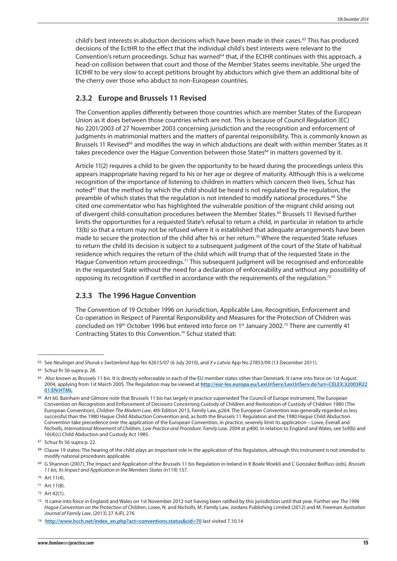child's best interests in abduction decisions which have been made in their cases.<sup>63</sup> This has produced decisions of the EctHR to the effect that the individual child's best interests were relevant to the Convention's return proceedings. Schuz has warned<sup>64</sup> that, if the ECtHR continues with this approach, a head-on collision between that court and those of the Member States seems inevitable. She urged the ECtHR to be very slow to accept petitions brought by abductors which give them an additional bite of the cherry over those who abduct to non-European countries.

### **2.3.2 Europe and Brussels 11 Revised**

The Convention applies differently between those countries which are member States of the European Union as it does between those countries which are not. This is because of Council Regulation (EC) No 2201/2003 of 27 November 2003 concerning jurisdiction and the recognition and enforcement of judgments in matrimonial matters and the matters of parental responsibility. This is commonly known as Brussels 11 Revised<sup>65</sup> and modifies the way in which abductions are dealt with within member States as it takes precedence over the Hague Convention between those States<sup>66</sup> in matters governed by it.

Article 11(2) requires a child to be given the opportunity to be heard during the proceedings unless this appears inappropriate having regard to his or her age or degree of maturity. Although this is a welcome recognition of the importance of listening to children in matters which concern their lives, Schuz has noted<sup>67</sup> that the method by which the child should be heard is not regulated by the regulation, the preamble of which states that the regulation is not intended to modify national procedures.<sup>68</sup> She cited one commentator who has highlighted the vulnerable position of the migrant child arising out of divergent child-consultation procedures between the Member States.<sup>69</sup> Brussels 11 Revised further limits the opportunities for a requested State's refusal to return a child, in particular in relation to article 13(b) so that a return may not be refused where it is established that adequate arrangements have been made to secure the protection of the child after his or her return.<sup>70</sup> Where the requested State refuses to return the child its decision is subject to a subsequent judgment of the court of the State of habitual residence which requires the return of the child which will trump that of the requested State in the Hague Convention return proceedings.<sup>71</sup> This subsequent judgment will be recognised and enforceable in the requested State without the need for a declaration of enforceability and without any possibility of opposing its recognition if certified in accordance with the requirements of the regulation.<sup>72</sup>

## **2.3.3 The 1996 Hague Convention**

The Convention of 19 October 1996 on Jurisdiction, Applicable Law, Recognition, Enforcement and Co-operation in Respect of Parental Responsibility and Measures for the Protection of Children was concluded on 19<sup>th</sup> October 1996 but entered into force on 1<sup>st</sup> January 2002.<sup>73</sup> There are currently 41 Contracting States to this Convention.<sup>74</sup> Schuz stated that:

<sup>63</sup> See *Neulinger and Shuruk v Switzerland* App No 42615/07 (6 July 2010), and *X v Latvia* App No 27853/09 (13 December 2011).

<sup>64</sup> Schuz fn 56 supra p. 28.

<sup>65</sup> Also known as Brussels 11 bis. It is directly enforceable in each of the EU member states other than Denmark. It came into force on 1st August 2004, applying from 1st March 2005. The Regulation may be viewed at **http://eur-lex.europa.eu/LexUriServ/LexUriServ.do?uri=CELEX:32003R22 01:EN:HTML**

<sup>66</sup> Art 60. Bainham and Gilmore note that Brussels 11 bis has largely in practice superseded The Council of Europe instrument, The European Convention on Recognition and Enforcement of Decisions Concerning Custody of Children and Restoration of Custody of Children 1980 (The European Convention), *Children The Modern Law*, 4th Edition 2013, Family Law, p264. The European Convention was generally regarded as less successful than the 1980 Hague Child Abduction Convention and, as both the Brussels 11 Regulation and the 1980 Hague Child Abduction Convention take precedence over the application of the European Convention, in practice, severely limit its application – Lowe, Everall and Nicholls, *International Movement of Children, Law Practice and Procedure. Family Law,* 2004 at p400. In relation to England and Wales, see Ss9(b) and 16(4)(c) Child Abduction and Custody Act 1985.

<sup>67</sup> Schuz fn 56 supra p. 22.

<sup>&</sup>lt;sup>68</sup> Clause 19 states: The hearing of the child plays an important role in the application of this Regulation, although this instrument is not intended to modify national procedures applicable.

<sup>69</sup> G Shannon (2007), The Impact and Application of the Brussels 11 bis Regulation in Ireland in K Boele Woekli and C Gonzalez Beilfuss (eds), *Brussels 11 bis, Its Impact and Application in the Members States* (n119) 157.

<sup>70</sup> Art 11(4).

<sup>71</sup> Art 11(8).

<sup>72</sup> Art 42(1).

<sup>73</sup> It came into force in England and Wales on 1st November 2012 not having been ratified by this jurisdiction until that year. Further see *The 1996 Hague Convention on the Protection of Children*, Lowe, N. and Nicholls, M. Family Law, Jordans Publishing Limited (2012) and M. Freeman *Australian Journal of Family Law*, (2013) 27 AJFL 276

<sup>74</sup> **http://www.hcch.net/index\_en.php?act=conventions.status&cid=70** last visited 7.10.14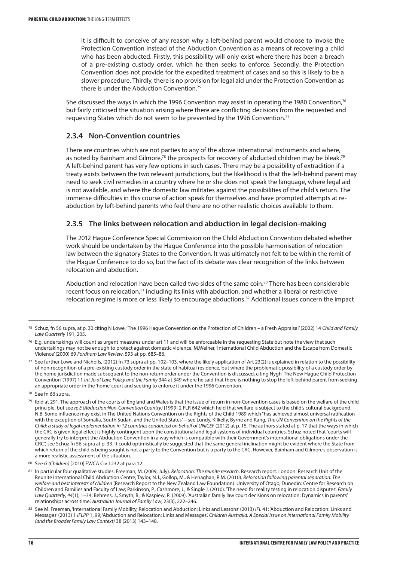It is difficult to conceive of any reason why a left-behind parent would choose to invoke the Protection Convention instead of the Abduction Convention as a means of recovering a child who has been abducted. Firstly, this possibility will only exist where there has been a breach of a pre-existing custody order, which he then seeks to enforce. Secondly, the Protection Convention does not provide for the expedited treatment of cases and so this is likely to be a slower procedure. Thirdly, there is no provision for legal aid under the Protection Convention as there is under the Abduction Convention.75

She discussed the ways in which the 1996 Convention may assist in operating the 1980 Convention,<sup>76</sup> but fairly criticised the situation arising where there are conflicting decisions from the requested and requesting States which do not seem to be prevented by the 1996 Convention.<sup>77</sup>

## **2.3.4 Non-Convention countries**

There are countries which are not parties to any of the above international instruments and where, as noted by Bainham and Gilmore, $78$  the prospects for recovery of abducted children may be bleak. $79$ A left-behind parent has very few options in such cases. There may be a possibility of extradition if a treaty exists between the two relevant jurisdictions, but the likelihood is that the left-behind parent may need to seek civil remedies in a country where he or she does not speak the language, where legal aid is not available, and where the domestic law militates against the possibilities of the child's return. The immense difficulties in this course of action speak for themselves and have prompted attempts at reabduction by left-behind parents who feel there are no other realistic choices available to them.

# **2.3.5 The links between relocation and abduction in legal decision-making**

The 2012 Hague Conference Special Commission on the Child Abduction Convention debated whether work should be undertaken by the Hague Conference into the possible harmonisation of relocation law between the signatory States to the Convention. It was ultimately not felt to be within the remit of the Hague Conference to do so, but the fact of its debate was clear recognition of the links between relocation and abduction.

Abduction and relocation have been called two sides of the same coin.<sup>80</sup> There has been considerable recent focus on relocation,<sup>81</sup> including its links with abduction, and whether a liberal or restrictive relocation regime is more or less likely to encourage abductions.<sup>82</sup> Additional issues concern the impact

<sup>75</sup> Schuz, fn 56 supra, at p. 30 citing N Lowe, 'The 1996 Hague Convention on the Protection of Children – a Fresh Appraisal' (2002) 14 *Child and Family Law Quarterly* 191, 205.

<sup>76</sup> E.g. undertakings will count as urgent measures under art 11 and will be enforceable in the requesting State but note the view that such undertakings may not be enough to protect against domestic violence, M.Weiner, 'International Child Abduction and the Escape from Domestic Violence' (2000) 69 *Fordham Law Review*, 593 at pp. 685–86.

<sup>77</sup> See further Lowe and Nicholls, (2012) fn 73 supra at pp. 102–103, where the likely application of Art 23(2) is explained in relation to the possibility of non-recognition of a pre-existing custody order in the state of habitual residence, but where the problematic possibility of a custody order by the home jurisdiction made subsequent to the non-return order under the Convention is discussed, citing Nygh 'The New Hague Child Protection Convention' (1997) 11 *Int Jo of Law, Policy and the Family* 344 at 349 where he said that there is nothing to stop the left-behind parent from seeking an appropriate order in the 'home' court and seeking to enforce it under the 1996 Convention.

<sup>78</sup> See fn 66 supra.

<sup>79</sup> Ibid at 291. The approach of the courts of England and Wales is that the issue of return in non-Convention cases is based on the welfare of the child principle, but see *re E (Abduction:Non-Convention Country)* [1999] 2 FLR 642 which held that welfare is subject to the child's cultural background. N.B. Some influence may exist in The United Nations Convention on the Rights of the Child 1989 which "has achieved almost universal ratification with the exception of Somalia, South Sudan, and the United States" – see Lundy, Kilkelly, Byrne and Kang, *The UN Convention on the Rights of the Child: a study of legal implementation in 12 countries conducted on behalf of UNICEF* (2012) at p. 15. The authors stated at p. 17 that the ways in which the CRC is given legal effect is highly contingent upon the constitutional and legal systems of individual countries. Schuz noted that "courts will generally try to interpret the Abduction Convention in a way which is compatible with their Government's international obligations under the CRC", see Schuz fn 56 supra at p. 33. It could optimistically be suggested that the same general inclination might be evident where the State from which return of the child is being sought is not a party to the Convention but is a party to the CRC. However, Bainham and Gilmore's observation is a more realistic assessment of the situation.

<sup>80</sup> See *G (Children)* [2010] EWCA Civ 1232 at para 12.

<sup>81</sup> In particular four qualitative studies: Freeman, M. (2009, July). *Relocation: The reunite research*. Research report. London: Research Unit of the Reunite International Child Abduction Centre; Taylor, N.J., Gollop, M., & Henaghan, R.M. (2010). *Relocation following parental separation: The welfare and best interests of children* (Research Report to the New Zealand Law Foundation). University of Otago, Dunedin: Centre for Research on Children and Families and Faculty of Law; Parkinson, P., Cashmore, J., & Single J. (2010). 'The need for reality testing in relocation disputes'. *Family Law Quarterly*, *44*(1), 1–34; Behrens, J., Smyth, B., & Kaspiew, R. (2009). 'Australian family law court decisions on relocation: Dynamics in parents' relationships across time'. *Australian Journal of Family Law*, 23(3), 222–246.

<sup>82</sup> See M. Freeman, 'International Family Mobility, Relocation and Abduction: Links and Lessons' (2013) *IFL* 41; 'Abduction and Relocation: Links and Messages' (2013) 1 *IFLPP* 1, 99; 'Abduction and Relocation: Links and Messages', *Children Australia, A Special Issue on International Family Mobility (and the Broader Family Law Context)* 38 (2013) 143–148.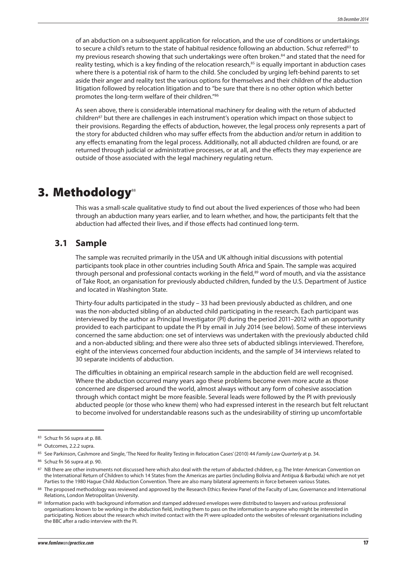of an abduction on a subsequent application for relocation, and the use of conditions or undertakings to secure a child's return to the state of habitual residence following an abduction. Schuz referred<sup>83</sup> to my previous research showing that such undertakings were often broken.<sup>84</sup> and stated that the need for reality testing, which is a key finding of the relocation research,<sup>85</sup> is equally important in abduction cases where there is a potential risk of harm to the child. She concluded by urging left-behind parents to set aside their anger and reality test the various options for themselves and their children of the abduction litigation followed by relocation litigation and to "be sure that there is no other option which better promotes the long-term welfare of their children."86

As seen above, there is considerable international machinery for dealing with the return of abducted children<sup>87</sup> but there are challenges in each instrument's operation which impact on those subject to their provisions. Regarding the effects of abduction, however, the legal process only represents a part of the story for abducted children who may suffer effects from the abduction and/or return in addition to any effects emanating from the legal process. Additionally, not all abducted children are found, or are returned through judicial or administrative processes, or at all, and the effects they may experience are outside of those associated with the legal machinery regulating return.

# 3. Methodology®

This was a small-scale qualitative study to find out about the lived experiences of those who had been through an abduction many years earlier, and to learn whether, and how, the participants felt that the abduction had affected their lives, and if those effects had continued long-term.

# **3.1 Sample**

The sample was recruited primarily in the USA and UK although initial discussions with potential participants took place in other countries including South Africa and Spain. The sample was acquired through personal and professional contacts working in the field, $89$  word of mouth, and via the assistance of Take Root, an organisation for previously abducted children, funded by the U.S. Department of Justice and located in Washington State.

Thirty-four adults participated in the study – 33 had been previously abducted as children, and one was the non-abducted sibling of an abducted child participating in the research. Each participant was interviewed by the author as Principal Investigator (PI) during the period 2011–2012 with an opportunity provided to each participant to update the PI by email in July 2014 (see below). Some of these interviews concerned the same abduction: one set of interviews was undertaken with the previously abducted child and a non-abducted sibling; and there were also three sets of abducted siblings interviewed. Therefore, eight of the interviews concerned four abduction incidents, and the sample of 34 interviews related to 30 separate incidents of abduction.

The difficulties in obtaining an empirical research sample in the abduction field are well recognised. Where the abduction occurred many years ago these problems become even more acute as those concerned are dispersed around the world, almost always without any form of cohesive association through which contact might be more feasible. Several leads were followed by the PI with previously abducted people (or those who knew them) who had expressed interest in the research but felt reluctant to become involved for understandable reasons such as the undesirability of stirring up uncomfortable

<sup>83</sup> Schuz fn 56 supra at p. 88.

<sup>84</sup> Outcomes, 2.2.2 supra.

<sup>85</sup> See Parkinson, Cashmore and Single, 'The Need for Reality Testing in Relocation Cases' (2010) 44 *Family Law Quarterly* at p. 34.

<sup>86</sup> Schuz fn 56 supra at p. 90.

<sup>87</sup> NB there are other instruments not discussed here which also deal with the return of abducted children, e.g. The Inter-American Convention on the International Return of Children to which 14 States from the Americas are parties (including Bolivia and Antigua & Barbuda) which are not yet Parties to the 1980 Hague Child Abduction Convention. There are also many bilateral agreements in force between various States.

<sup>88</sup> The proposed methodology was reviewed and approved by the Research Ethics Review Panel of the Faculty of Law, Governance and International Relations, London Metropolitan University.

<sup>89</sup> Information packs with background information and stamped addressed envelopes were distributed to lawyers and various professional organisations known to be working in the abduction field, inviting them to pass on the information to anyone who might be interested in participating. Notices about the research which invited contact with the PI were uploaded onto the websites of relevant organisations including the BBC after a radio interview with the PI.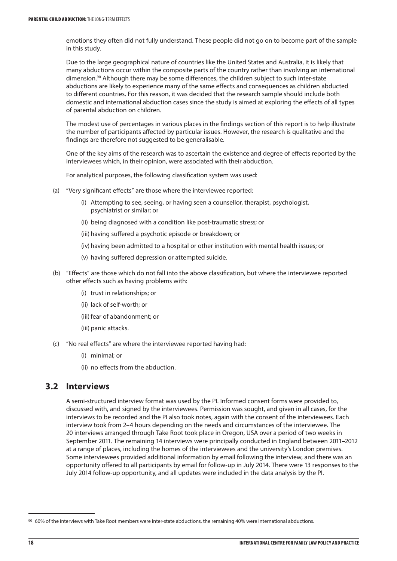emotions they often did not fully understand. These people did not go on to become part of the sample in this study.

Due to the large geographical nature of countries like the United States and Australia, it is likely that many abductions occur within the composite parts of the country rather than involving an international dimension.90 Although there may be some differences, the children subject to such inter-state abductions are likely to experience many of the same effects and consequences as children abducted to different countries. For this reason, it was decided that the research sample should include both domestic and international abduction cases since the study is aimed at exploring the effects of all types of parental abduction on children.

The modest use of percentages in various places in the findings section of this report is to help illustrate the number of participants affected by particular issues. However, the research is qualitative and the findings are therefore not suggested to be generalisable.

One of the key aims of the research was to ascertain the existence and degree of effects reported by the interviewees which, in their opinion, were associated with their abduction.

For analytical purposes, the following classification system was used:

- (a) "Very significant effects" are those where the interviewee reported:
	- (i) Attempting to see, seeing, or having seen a counsellor, therapist, psychologist, psychiatrist or similar; or
	- (ii) being diagnosed with a condition like post-traumatic stress; or
	- (iii) having suffered a psychotic episode or breakdown; or
	- (iv) having been admitted to a hospital or other institution with mental health issues; or
	- (v) having suffered depression or attempted suicide.
- (b) "Effects" are those which do not fall into the above classification, but where the interviewee reported other effects such as having problems with:
	- (i) trust in relationships; or
	- (ii) lack of self-worth; or
	- (iii) fear of abandonment; or
	- (iii) panic attacks.
- (c) "No real effects" are where the interviewee reported having had:
	- (i) minimal; or
	- (ii) no effects from the abduction.

# **3.2 Interviews**

A semi-structured interview format was used by the PI. Informed consent forms were provided to, discussed with, and signed by the interviewees. Permission was sought, and given in all cases, for the interviews to be recorded and the PI also took notes, again with the consent of the interviewees. Each interview took from 2–4 hours depending on the needs and circumstances of the interviewee. The 20 interviews arranged through Take Root took place in Oregon, USA over a period of two weeks in September 2011. The remaining 14 interviews were principally conducted in England between 2011–2012 at a range of places, including the homes of the interviewees and the university's London premises. Some interviewees provided additional information by email following the interview, and there was an opportunity offered to all participants by email for follow-up in July 2014. There were 13 responses to the July 2014 follow-up opportunity, and all updates were included in the data analysis by the PI.

<sup>90</sup> 60% of the interviews with Take Root members were inter-state abductions, the remaining 40% were international abductions.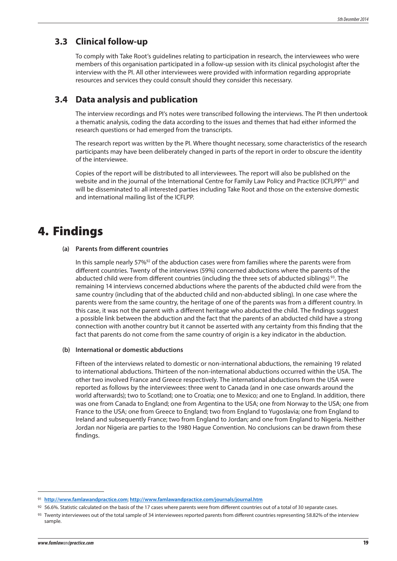# **3.3 Clinical follow-up**

To comply with Take Root's guidelines relating to participation in research, the interviewees who were members of this organisation participated in a follow-up session with its clinical psychologist after the interview with the PI. All other interviewees were provided with information regarding appropriate resources and services they could consult should they consider this necessary.

# **3.4 Data analysis and publication**

The interview recordings and PI's notes were transcribed following the interviews. The PI then undertook a thematic analysis, coding the data according to the issues and themes that had either informed the research questions or had emerged from the transcripts.

The research report was written by the PI. Where thought necessary, some characteristics of the research participants may have been deliberately changed in parts of the report in order to obscure the identity of the interviewee.

Copies of the report will be distributed to all interviewees. The report will also be published on the website and in the journal of the International Centre for Family Law Policy and Practice (ICFLPP)<sup>91</sup> and will be disseminated to all interested parties including Take Root and those on the extensive domestic and international mailing list of the ICFLPP.

# 4. Findings

#### **(a) Parents from different countries**

In this sample nearly 57%<sup>92</sup> of the abduction cases were from families where the parents were from different countries. Twenty of the interviews (59%) concerned abductions where the parents of the abducted child were from different countries (including the three sets of abducted siblings)<sup>93</sup>. The remaining 14 interviews concerned abductions where the parents of the abducted child were from the same country (including that of the abducted child and non-abducted sibling). In one case where the parents were from the same country, the heritage of one of the parents was from a different country. In this case, it was not the parent with a different heritage who abducted the child. The findings suggest a possible link between the abduction and the fact that the parents of an abducted child have a strong connection with another country but it cannot be asserted with any certainty from this finding that the fact that parents do not come from the same country of origin is a key indicator in the abduction.

#### **(b) International or domestic abductions**

Fifteen of the interviews related to domestic or non-international abductions, the remaining 19 related to international abductions. Thirteen of the non-international abductions occurred within the USA. The other two involved France and Greece respectively. The international abductions from the USA were reported as follows by the interviewees: three went to Canada (and in one case onwards around the world afterwards); two to Scotland; one to Croatia; one to Mexico; and one to England. In addition, there was one from Canada to England; one from Argentina to the USA; one from Norway to the USA; one from France to the USA; one from Greece to England; two from England to Yugoslavia; one from England to Ireland and subsequently France; two from England to Jordan; and one from England to Nigeria. Neither Jordan nor Nigeria are parties to the 1980 Hague Convention. No conclusions can be drawn from these findings.

<sup>91</sup> **http://www.famlawandpractice.com**; **http://www.famlawandpractice.com/journals/journal.htm**

<sup>92 56.6%.</sup> Statistic calculated on the basis of the 17 cases where parents were from different countries out of a total of 30 separate cases.

<sup>93</sup> Twenty interviewees out of the total sample of 34 interviewees reported parents from different countries representing 58.82% of the interview sample.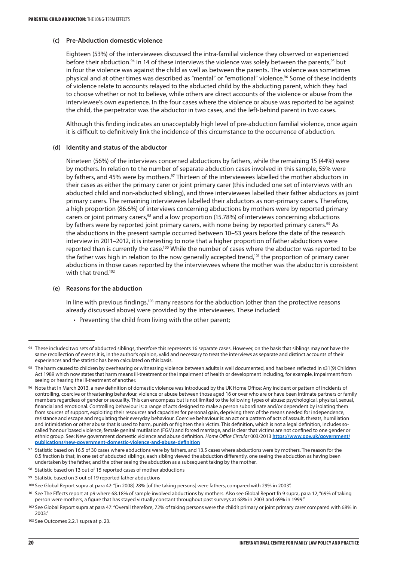#### **(c) Pre-Abduction domestic violence**

Eighteen (53%) of the interviewees discussed the intra-familial violence they observed or experienced before their abduction.<sup>94</sup> In 14 of these interviews the violence was solely between the parents,<sup>95</sup> but in four the violence was against the child as well as between the parents. The violence was sometimes physical and at other times was described as "mental" or "emotional" violence.96 Some of these incidents of violence relate to accounts relayed to the abducted child by the abducting parent, which they had to choose whether or not to believe, while others are direct accounts of the violence or abuse from the interviewee's own experience. In the four cases where the violence or abuse was reported to be against the child, the perpetrator was the abductor in two cases, and the left-behind parent in two cases.

Although this finding indicates an unacceptably high level of pre-abduction familial violence, once again it is difficult to definitively link the incidence of this circumstance to the occurrence of abduction.

#### **(d) Identity and status of the abductor**

Nineteen (56%) of the interviews concerned abductions by fathers, while the remaining 15 (44%) were by mothers. In relation to the number of separate abduction cases involved in this sample, 55% were by fathers, and 45% were by mothers.<sup>97</sup> Thirteen of the interviewees labelled the mother abductors in their cases as either the primary carer or joint primary carer (this included one set of interviews with an abducted child and non-abducted sibling), and three interviewees labelled their father abductors as joint primary carers. The remaining interviewees labelled their abductors as non-primary carers. Therefore, a high proportion (86.6%) of interviews concerning abductions by mothers were by reported primary carers or joint primary carers,<sup>98</sup> and a low proportion (15.78%) of interviews concerning abductions by fathers were by reported joint primary carers, with none being by reported primary carers.<sup>99</sup> As the abductions in the present sample occurred between 10–53 years before the date of the research interview in 2011–2012, it is interesting to note that a higher proportion of father abductions were reported than is currently the case.<sup>100</sup> While the number of cases where the abductor was reported to be the father was high in relation to the now generally accepted trend,<sup>101</sup> the proportion of primary carer abductions in those cases reported by the interviewees where the mother was the abductor is consistent with that trend.<sup>102</sup>

#### **(e) Reasons for the abduction**

In line with previous findings,<sup>103</sup> many reasons for the abduction (other than the protective reasons already discussed above) were provided by the interviewees. These included:

• Preventing the child from living with the other parent;

These included two sets of abducted siblings, therefore this represents 16 separate cases. However, on the basis that siblings may not have the same recollection of events it is, in the author's opinion, valid and necessary to treat the interviews as separate and distinct accounts of their experiences and the statistic has been calculated on this basis.

<sup>95</sup> The harm caused to children by overhearing or witnessing violence between adults is well documented, and has been reflected in s31(9) Children Act 1989 which now states that harm means ill-treatment or the impairment of health or development including, for example, impairment from seeing or hearing the ill-treatment of another.

<sup>96</sup> Note that In March 2013, a new definition of domestic violence was introduced by the UK Home Office: Any incident or pattern of incidents of controlling, coercive or threatening behaviour, violence or abuse between those aged 16 or over who are or have been intimate partners or family members regardless of gender or sexuality. This can encompass but is not limited to the following types of abuse: psychological, physical, sexual, financial and emotional. Controlling behaviour is: a range of acts designed to make a person subordinate and/or dependent by isolating them from sources of support, exploiting their resources and capacities for personal gain, depriving them of the means needed for independence, resistance and escape and regulating their everyday behaviour. Coercive behaviour is: an act or a pattern of acts of assault, threats, humiliation and intimidation or other abuse that is used to harm, punish or frighten their victim. This definition, which is not a legal definition, includes socalled 'honour' based violence, female genital mutilation (FGM) and forced marriage, and is clear that victims are not confined to one gender or ethnic group. See: New government domestic violence and abuse definition. *Home Office Circular* 003/2013 **https://www.gov.uk/government/ publications/new-government-domestic-violence-and-abuse-definition**

<sup>97</sup> Statistic based on 16.5 of 30 cases where abductions were by fathers, and 13.5 cases where abductions were by mothers. The reason for the 0.5 fraction is that, in one set of abducted siblings, each sibling viewed the abduction differently, one seeing the abduction as having been undertaken by the father, and the other seeing the abduction as a subsequent taking by the mother.

<sup>98</sup> Statistic based on 13 out of 15 reported cases of mother abductions

<sup>99</sup> Statistic based on 3 out of 19 reported father abductions

<sup>100</sup> See Global Report supra at para 42: "[in 2008] 28% [of the taking persons] were fathers, compared with 29% in 2003".

<sup>101</sup> See The Effects report at p9 where 68.18% of sample involved abductions by mothers. Also see Global Report fn 9 supra, para 12, "69% of taking person were mothers, a figure that has stayed virtually constant throughout past surveys at 68% in 2003 and 69% in 1999."

<sup>102</sup> See Global Report supra at para 47: "Overall therefore, 72% of taking persons were the child's primary or joint primary carer compared with 68% in 2003."

<sup>103</sup> See Outcomes 2.2.1 supra at p. 23.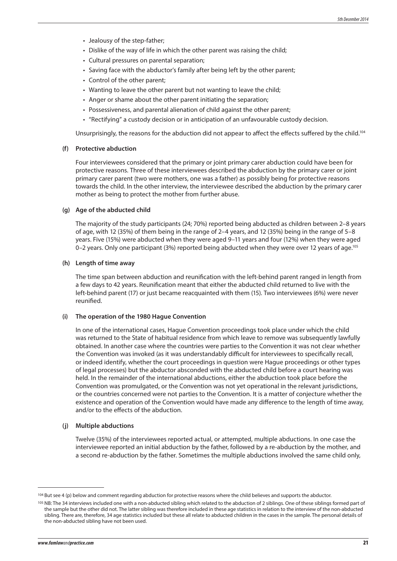- Jealousy of the step-father;
- Dislike of the way of life in which the other parent was raising the child;
- Cultural pressures on parental separation;
- Saving face with the abductor's family after being left by the other parent;
- Control of the other parent;
- Wanting to leave the other parent but not wanting to leave the child;
- Anger or shame about the other parent initiating the separation;
- Possessiveness, and parental alienation of child against the other parent;
- "Rectifying" a custody decision or in anticipation of an unfavourable custody decision.

Unsurprisingly, the reasons for the abduction did not appear to affect the effects suffered by the child.<sup>104</sup>

#### **(f) Protective abduction**

Four interviewees considered that the primary or joint primary carer abduction could have been for protective reasons. Three of these interviewees described the abduction by the primary carer or joint primary carer parent (two were mothers, one was a father) as possibly being for protective reasons towards the child. In the other interview, the interviewee described the abduction by the primary carer mother as being to protect the mother from further abuse.

#### **(g) Age of the abducted child**

The majority of the study participants (24; 70%) reported being abducted as children between 2–8 years of age, with 12 (35%) of them being in the range of 2–4 years, and 12 (35%) being in the range of 5–8 years. Five (15%) were abducted when they were aged 9–11 years and four (12%) when they were aged 0–2 years. Only one participant (3%) reported being abducted when they were over 12 years of age.<sup>105</sup>

#### **(h) Length of time away**

The time span between abduction and reunification with the left-behind parent ranged in length from a few days to 42 years. Reunification meant that either the abducted child returned to live with the left-behind parent (17) or just became reacquainted with them (15). Two interviewees (6%) were never reunified.

#### **(i) The operation of the 1980 Hague Convention**

In one of the international cases, Hague Convention proceedings took place under which the child was returned to the State of habitual residence from which leave to remove was subsequently lawfully obtained. In another case where the countries were parties to the Convention it was not clear whether the Convention was invoked (as it was understandably difficult for interviewees to specifically recall, or indeed identify, whether the court proceedings in question were Hague proceedings or other types of legal processes) but the abductor absconded with the abducted child before a court hearing was held. In the remainder of the international abductions, either the abduction took place before the Convention was promulgated, or the Convention was not yet operational in the relevant jurisdictions, or the countries concerned were not parties to the Convention. It is a matter of conjecture whether the existence and operation of the Convention would have made any difference to the length of time away, and/or to the effects of the abduction.

#### **(j) Multiple abductions**

Twelve (35%) of the interviewees reported actual, or attempted, multiple abductions. In one case the interviewee reported an initial abduction by the father, followed by a re-abduction by the mother, and a second re-abduction by the father. Sometimes the multiple abductions involved the same child only,

<sup>104</sup> But see 4 (p) below and comment regarding abduction for protective reasons where the child believes and supports the abductor.

<sup>&</sup>lt;sup>105</sup> NB: The 34 interviews included one with a non-abducted sibling which related to the abduction of 2 siblings. One of these siblings formed part of the sample but the other did not. The latter sibling was therefore included in these age statistics in relation to the interview of the non-abducted sibling. There are, therefore, 34 age statistics included but these all relate to abducted children in the cases in the sample. The personal details of the non-abducted sibling have not been used.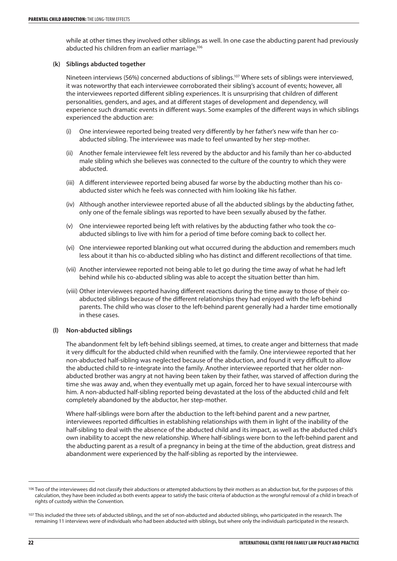while at other times they involved other siblings as well. In one case the abducting parent had previously abducted his children from an earlier marriage.<sup>106</sup>

#### **(k) Siblings abducted together**

Nineteen interviews (56%) concerned abductions of siblings.<sup>107</sup> Where sets of siblings were interviewed, it was noteworthy that each interviewee corroborated their sibling's account of events; however, all the interviewees reported different sibling experiences. It is unsurprising that children of different personalities, genders, and ages, and at different stages of development and dependency, will experience such dramatic events in different ways. Some examples of the different ways in which siblings experienced the abduction are:

- (i) One interviewee reported being treated very differently by her father's new wife than her coabducted sibling. The interviewee was made to feel unwanted by her step-mother.
- (ii) Another female interviewee felt less revered by the abductor and his family than her co-abducted male sibling which she believes was connected to the culture of the country to which they were abducted.
- (iii) A different interviewee reported being abused far worse by the abducting mother than his coabducted sister which he feels was connected with him looking like his father.
- (iv) Although another interviewee reported abuse of all the abducted siblings by the abducting father, only one of the female siblings was reported to have been sexually abused by the father.
- (v) One interviewee reported being left with relatives by the abducting father who took the coabducted siblings to live with him for a period of time before coming back to collect her.
- (vi) One interviewee reported blanking out what occurred during the abduction and remembers much less about it than his co-abducted sibling who has distinct and different recollections of that time.
- (vii) Another interviewee reported not being able to let go during the time away of what he had left behind while his co-abducted sibling was able to accept the situation better than him.
- (viii) Other interviewees reported having different reactions during the time away to those of their coabducted siblings because of the different relationships they had enjoyed with the left-behind parents. The child who was closer to the left-behind parent generally had a harder time emotionally in these cases.

#### **(l) Non-abducted siblings**

The abandonment felt by left-behind siblings seemed, at times, to create anger and bitterness that made it very difficult for the abducted child when reunified with the family. One interviewee reported that her non-abducted half-sibling was neglected because of the abduction, and found it very difficult to allow the abducted child to re-integrate into the family. Another interviewee reported that her older nonabducted brother was angry at not having been taken by their father, was starved of affection during the time she was away and, when they eventually met up again, forced her to have sexual intercourse with him. A non-abducted half-sibling reported being devastated at the loss of the abducted child and felt completely abandoned by the abductor, her step-mother.

Where half-siblings were born after the abduction to the left-behind parent and a new partner, interviewees reported difficulties in establishing relationships with them in light of the inability of the half-sibling to deal with the absence of the abducted child and its impact, as well as the abducted child's own inability to accept the new relationship. Where half-siblings were born to the left-behind parent and the abducting parent as a result of a pregnancy in being at the time of the abduction, great distress and abandonment were experienced by the half-sibling as reported by the interviewee.

<sup>106</sup> Two of the interviewees did not classify their abductions or attempted abductions by their mothers as an abduction but, for the purposes of this calculation, they have been included as both events appear to satisfy the basic criteria of abduction as the wrongful removal of a child in breach of rights of custody within the Convention.

<sup>&</sup>lt;sup>107</sup> This included the three sets of abducted siblings, and the set of non-abducted and abducted siblings, who participated in the research. The remaining 11 interviews were of individuals who had been abducted with siblings, but where only the individuals participated in the research.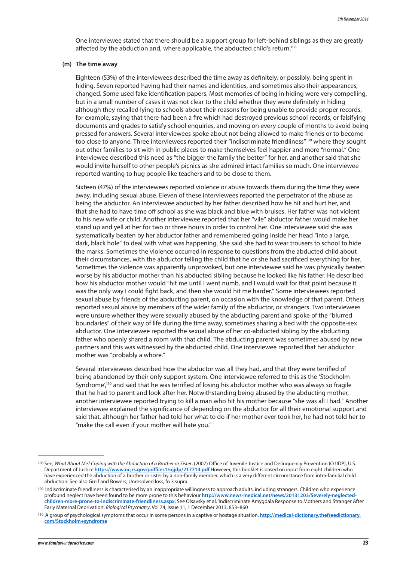One interviewee stated that there should be a support group for left-behind siblings as they are greatly affected by the abduction and, where applicable, the abducted child's return.<sup>108</sup>

#### **(m) The time away**

Eighteen (53%) of the interviewees described the time away as definitely, or possibly, being spent in hiding. Seven reported having had their names and identities, and sometimes also their appearances, changed. Some used fake identification papers. Most memories of being in hiding were very compelling, but in a small number of cases it was not clear to the child whether they were definitely in hiding although they recalled lying to schools about their reasons for being unable to provide proper records, for example, saying that there had been a fire which had destroyed previous school records, or falsifying documents and grades to satisfy school enquiries, and moving on every couple of months to avoid being pressed for answers. Several interviewees spoke about not being allowed to make friends or to become too close to anyone. Three interviewees reported their "indiscriminate friendliness"<sup>109</sup> where they sought out other families to sit with in public places to make themselves feel happier and more "normal." One interviewee described this need as "the bigger the family the better" for her, and another said that she would invite herself to other people's picnics as she admired intact families so much. One interviewee reported wanting to hug people like teachers and to be close to them.

Sixteen (47%) of the interviewees reported violence or abuse towards them during the time they were away, including sexual abuse. Eleven of these interviewees reported the perpetrator of the abuse as being the abductor. An interviewee abducted by her father described how he hit and hurt her, and that she had to have time off school as she was black and blue with bruises. Her father was not violent to his new wife or child. Another interviewee reported that her "vile" abductor father would make her stand up and yell at her for two or three hours in order to control her. One interviewee said she was systematically beaten by her abductor father and remembered going inside her head "into a large, dark, black hole" to deal with what was happening. She said she had to wear trousers to school to hide the marks. Sometimes the violence occurred in response to questions from the abducted child about their circumstances, with the abductor telling the child that he or she had sacrificed everything for her. Sometimes the violence was apparently unprovoked, but one interviewee said he was physically beaten worse by his abductor mother than his abducted sibling because he looked like his father. He described how his abductor mother would "hit me until I went numb, and I would wait for that point because it was the only way I could fight back, and then she would hit me harder." Some interviewees reported sexual abuse by friends of the abducting parent, on occasion with the knowledge of that parent. Others reported sexual abuse by members of the wider family of the abductor, or strangers. Two interviewees were unsure whether they were sexually abused by the abducting parent and spoke of the "blurred boundaries" of their way of life during the time away, sometimes sharing a bed with the opposite-sex abductor. One interviewee reported the sexual abuse of her co-abducted sibling by the abducting father who openly shared a room with that child. The abducting parent was sometimes abused by new partners and this was witnessed by the abducted child. One interviewee reported that her abductor mother was "probably a whore."

Several interviewees described how the abductor was all they had, and that they were terrified of being abandoned by their only support system. One interviewee referred to this as the 'Stockholm Syndrome',110 and said that he was terrified of losing his abductor mother who was always so fragile that he had to parent and look after her. Notwithstanding being abused by the abducting mother, another interviewee reported trying to kill a man who hit his mother because "she was all I had." Another interviewee explained the significance of depending on the abductor for all their emotional support and said that, although her father had told her what to do if her mother ever took her, he had not told her to "make the call even if your mother will hate you."

<sup>108</sup> See, *What About Me? Coping with the Abduction of a Brother or Sister*, (2007) Office of Juvenile Justice and Delinquency Prevention (OJJDP), U.S. Department of Justice **https://www.ncjrs.gov/pdffiles1/ojjdp/217714.pdf** However, this booklet is based on input from eight children who have experienced the abduction of a brother or sister by a non-family member, which is a very different circumstance from intra-familial child abduction. See also Greif and Bowers, Unresolved loss, fn 3 supra.

<sup>109</sup> Indiscriminate friendliness is characterised by an inappropriate willingness to approach adults, including strangers. Children who experience profound neglect have been found to be more prone to this behaviour **http://www.news-medical.net/news/20131203/Severely-neglectedchildren-more-prone-to-indiscriminate-friendliness.aspx**; See Olsavsky et al, 'Indiscriminate Amygdala Response to Mothers and Stranger After Early Maternal Deprivation', *Biological Psychiatry*, Vol 74, Issue 11, 1 December 2013, 853–860

<sup>110</sup> A group of psychological symptoms that occur in some persons in a captive or hostage situation. **http://medical-dictionary.thefreedictionary. com/Stockholm+syndrome**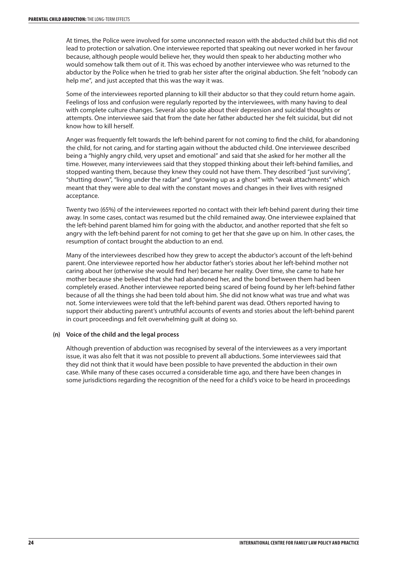At times, the Police were involved for some unconnected reason with the abducted child but this did not lead to protection or salvation. One interviewee reported that speaking out never worked in her favour because, although people would believe her, they would then speak to her abducting mother who would somehow talk them out of it. This was echoed by another interviewee who was returned to the abductor by the Police when he tried to grab her sister after the original abduction. She felt "nobody can help me", and just accepted that this was the way it was.

Some of the interviewees reported planning to kill their abductor so that they could return home again. Feelings of loss and confusion were regularly reported by the interviewees, with many having to deal with complete culture changes. Several also spoke about their depression and suicidal thoughts or attempts. One interviewee said that from the date her father abducted her she felt suicidal, but did not know how to kill herself.

Anger was frequently felt towards the left-behind parent for not coming to find the child, for abandoning the child, for not caring, and for starting again without the abducted child. One interviewee described being a "highly angry child, very upset and emotional" and said that she asked for her mother all the time. However, many interviewees said that they stopped thinking about their left-behind families, and stopped wanting them, because they knew they could not have them. They described "just surviving", "shutting down", "living under the radar" and "growing up as a ghost" with "weak attachments" which meant that they were able to deal with the constant moves and changes in their lives with resigned acceptance.

Twenty two (65%) of the interviewees reported no contact with their left-behind parent during their time away. In some cases, contact was resumed but the child remained away. One interviewee explained that the left-behind parent blamed him for going with the abductor, and another reported that she felt so angry with the left-behind parent for not coming to get her that she gave up on him. In other cases, the resumption of contact brought the abduction to an end.

Many of the interviewees described how they grew to accept the abductor's account of the left-behind parent. One interviewee reported how her abductor father's stories about her left-behind mother not caring about her (otherwise she would find her) became her reality. Over time, she came to hate her mother because she believed that she had abandoned her, and the bond between them had been completely erased. Another interviewee reported being scared of being found by her left-behind father because of all the things she had been told about him. She did not know what was true and what was not. Some interviewees were told that the left-behind parent was dead. Others reported having to support their abducting parent's untruthful accounts of events and stories about the left-behind parent in court proceedings and felt overwhelming guilt at doing so.

#### **(n) Voice of the child and the legal process**

Although prevention of abduction was recognised by several of the interviewees as a very important issue, it was also felt that it was not possible to prevent all abductions. Some interviewees said that they did not think that it would have been possible to have prevented the abduction in their own case. While many of these cases occurred a considerable time ago, and there have been changes in some jurisdictions regarding the recognition of the need for a child's voice to be heard in proceedings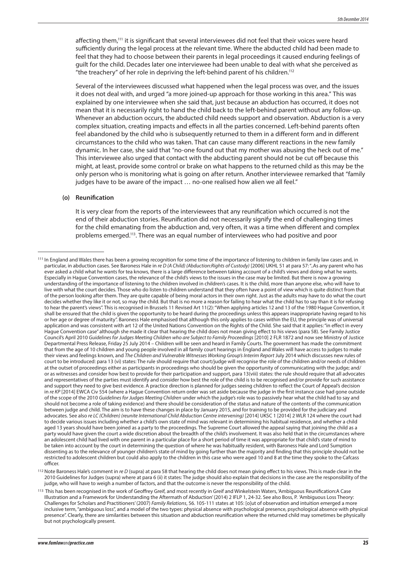affecting them,<sup>111</sup> it is significant that several interviewees did not feel that their voices were heard sufficiently during the legal process at the relevant time. Where the abducted child had been made to feel that they had to choose between their parents in legal proceedings it caused enduring feelings of guilt for the child. Decades later one interviewee had been unable to deal with what she perceived as "the treachery" of her role in depriving the left-behind parent of his children.<sup>112</sup>

Several of the interviewees discussed what happened when the legal process was over, and the issues it does not deal with, and urged "a more joined-up approach for those working in this area." This was explained by one interviewee when she said that, just because an abduction has occurred, it does not mean that it is necessarily right to hand the child back to the left-behind parent without any follow-up. Whenever an abduction occurs, the abducted child needs support and observation. Abduction is a very complex situation, creating impacts and effects in all the parties concerned. Left-behind parents often feel abandoned by the child who is subsequently returned to them in a different form and in different circumstances to the child who was taken. That can cause many different reactions in the new family dynamic. In her case, she said that "no-one found out that my mother was abusing the heck out of me." This interviewee also urged that contact with the abducting parent should not be cut off because this might, at least, provide some control or brake on what happens to the returned child as this may be the only person who is monitoring what is going on after return. Another interviewee remarked that "family judges have to be aware of the impact ... no-one realised how alien we all feel."

#### **(o) Reunification**

It is very clear from the reports of the interviewees that any reunification which occurred is not the end of their abduction stories. Reunification did not necessarily signify the end of challenging times for the child emanating from the abduction and, very often, it was a time when different and complex problems emerged.113. There was an equal number of interviewees who had positive and poor

<sup>112</sup> Note Baroness Hale's comment in *re D* (supra) at para 58 that hearing the child does not mean giving effect to his views. This is made clear in the 2010 Guidelines for Judges (supra) where at para 6 (ii) it states: The judge should also explain that decisions in the case are the responsibility of the judge, who will have to weigh a number of factors, and that the outcome is never the responsibility of the child.

<sup>111</sup> In England and Wales there has been a growing recognition for some time of the importance of listening to children in family law cases and, in particular, in abduction cases. See Baroness Hale in *re D (A Child) (Abduction:Rights of Custody)* [2006] UKHL 51 at para 57: "..As any parent who has ever asked a child what he wants for tea knows, there is a large difference between taking account of a child's views and doing what he wants. Especially in Hague Convention cases, the relevance of the child's views to the issues in the case may be limited. But there is now a growing understanding of the importance of listening to the children involved in children's cases. It is the child, more than anyone else, who will have to live with what the court decides. Those who do listen to children understand that they often have a point of view which is quite distinct from that of the person looking after them. They are quite capable of being moral actors in their own right. Just as the adults may have to do what the court decides whether they like it or not, so may the child. But that is no more a reason for failing to hear what the child has to say than it is for refusing to hear the parent's views". This is recognised in Brussels 11 Revised Art 11(2): "When applying articles 12 and 13 of the 1980 Hague Convention, it shall be ensured that the child is given the opportunity to be heard during the proceedings unless this appears inappropriate having regard to his or her age or degree of maturity". Baroness Hale emphasised that although this only applies to cases within the EU, the principle was of universal application and was consistent with art 12 of the United Nations Convention on the Rights of the Child. She said that it applies: "in effect in every Hague Convention case" although she made it clear that hearing the child does not mean giving effect to his views (para 58). See Family Justice Council's April 2010 *Guidelines for Judges Meeting Children who are Subject to Family Proceedings* [2010] 2 FLR 1872 and now see Ministry of Justice Departmental Press Release, Friday 25 July 2014 – Children will be seen and heard in Family Courts. The government has made the commitment that from the age of 10 children and young people involved in all family court hearings in England and Wales will have access to judges to make their views and feelings known, and *The Children and Vulnerable Witnesses Working Group's Interim Report* July 2014 which discusses new rules of court to be introduced: para 13 (vi) states: The rule should require that court/judge will recognise the role of the children and/or needs of children at the outset of proceedings either as participants in proceedings who should be given the opportunity of communicating with the judge; and/ or as witnesses and consider how best to provide for their participation and support, para 13(viii) states: the rule should require that all advocates and representatives of the parties must identify and consider how best the role of the child is to be recognised and/or provide for such assistance and support they need to give best evidence. A practice direction is planned for judges seeing children to reflect the Court of Appeal's decision in *re KP* [2014] EWCA Civ 554 (where a Hague Convention return order was set aside because the judge in the first instance case had gone outside of the scope of the 2010 *Guidelines for Judges Meeting Children* under which the judge's role was to passively hear what the child had to say and should not become a role of taking evidence) and there should be consideration of the status and nature of the contents of the communication between judge and child. The aim is to have these changes in place by January 2015, and for training to be provided for the judiciary and advocates. See also *re LC (Children) (reunite International Child Abduction Centre intervening)* [2014] UKSC 1 [2014] 2 WLR 124 where the court had to decide various issues including whether a child's own state of mind was relevant in determining his habitual residence, and whether a child aged 13 years should have been joined as a party to the proceedings. The Supreme Court allowed the appeal saying that joining the child as a party would have given the court a wide discretion about the breadth of the child's involvement. It was also held that in the circumstances where an adolescent child had lived with one parent in a particular place for a short period of time it was appropriate for that child's state of mind to be taken into account by the court in determining the question of where he was habitually resident, with Baroness Hale and Lord Sumption dissenting as to the relevance of younger children's state of mind by going further than the majority and finding that this principle should not be restricted to adolescent children but could also apply to the children in this case who were aged 10 and 8 at the time they spoke to the Cafcass officer.

<sup>113</sup> This has been recognised in the work of Geoffrey Greif, and most recently in Greif and Winkelstein Waters, 'Ambiguous Reunification:A Case Illustration and a Framework for Understanding the Aftermath of Abduction' (2014) 2 IFLP 1, 24-32. See also Boss, P. 'Ambiguous Loss Theory: Challenges for Scholars and Practitioners' (2007) *Family Relations*, 56. 105-111 states at 105: [o]ut of observation and intuition emerged a more inclusive term, "ambiguous loss", and a model of the two types: physical absence with psychological presence, psychological absence with physical presence". Clearly, there are similarities between this situation and abduction reunification where the returned child may sometimes be physically but not psychologically present.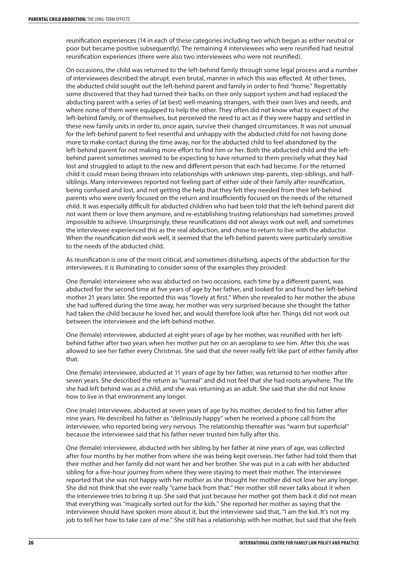reunification experiences (14 in each of these categories including two which began as either neutral or poor but became positive subsequently). The remaining 4 interviewees who were reunified had neutral reunification experiences (there were also two interviewees who were not reunified).

On occasions, the child was returned to the left-behind family through some legal process and a number of interviewees described the abrupt, even brutal, manner in which this was effected. At other times, the abducted child sought out the left-behind parent and family in order to find "home." Regrettably some discovered that they had turned their backs on their only support system and had replaced the abducting parent with a series of (at best) well-meaning strangers, with their own lives and needs, and where none of them were equipped to help the other. They often did not know what to expect of the left-behind family, or of themselves, but perceived the need to act as if they were happy and settled in these new family units in order to, once again, survive their changed circumstances. It was not unusual for the left-behind parent to feel resentful and unhappy with the abducted child for not having done more to make contact during the time away, nor for the abducted child to feel abandoned by the left-behind parent for not making more effort to find him or her. Both the abducted child and the leftbehind parent sometimes seemed to be expecting to have returned to them precisely what they had lost and struggled to adapt to the new and different person that each had become. For the returned child it could mean being thrown into relationships with unknown step-parents, step-siblings, and halfsiblings. Many interviewees reported not feeling part of either side of their family after reunification, being confused and lost, and not getting the help that they felt they needed from their left-behind parents who were overly focused on the return and insufficiently focused on the needs of the returned child. It was especially difficult for abducted children who had been told that the left-behind parent did not want them or love them anymore, and re-establishing trusting relationships had sometimes proved impossible to achieve. Unsurprisingly, these reunifications did not always work out well, and sometimes the interviewee experienced this as the real abduction, and chose to return to live with the abductor. When the reunification did work well, it seemed that the left-behind parents were particularly sensitive to the needs of the abducted child.

As reunification is one of the most critical, and sometimes disturbing, aspects of the abduction for the interviewees, it is illuminating to consider some of the examples they provided:

One (female) interviewee who was abducted on two occasions, each time by a different parent, was abducted for the second time at five years of age by her father, and looked for and found her left-behind mother 21 years later. She reported this was "lovely at first." When she revealed to her mother the abuse she had suffered during the time away, her mother was very surprised because she thought the father had taken the child because he loved her, and would therefore look after her. Things did not work out between the interviewee and the left-behind mother.

One (female) interviewee, abducted at eight years of age by her mother, was reunified with her leftbehind father after two years when her mother put her on an aeroplane to see him. After this she was allowed to see her father every Christmas. She said that she never really felt like part of either family after that.

One (female) interviewee, abducted at 11 years of age by her father, was returned to her mother after seven years. She described the return as "surreal" and did not feel that she had roots anywhere. The life she had left behind was as a child, and she was returning as an adult. She said that she did not know how to live in that environment any longer.

One (male) interviewee, abducted at seven years of age by his mother, decided to find his father after nine years. He described his father as "deliriously happy" when he received a phone call from the interviewee, who reported being very nervous. The relationship thereafter was "warm but superficial" because the interviewee said that his father never trusted him fully after this.

One (female) interviewee, abducted with her sibling by her father at nine years of age, was collected after four months by her mother from where she was being kept overseas. Her father had told them that their mother and her family did not want her and her brother. She was put in a cab with her abducted sibling for a five-hour journey from where they were staying to meet their mother. The interviewee reported that she was not happy with her mother as she thought her mother did not love her any longer. She did not think that she ever really "came back from that." Her mother still never talks about it when the interviewee tries to bring it up. She said that just because her mother got them back it did not mean that everything was "magically sorted out for the kids." She reported her mother as saying that the interviewee should have spoken more about it, but the interviewee said that, "I am the kid. It's not my job to tell her how to take care of me." She still has a relationship with her mother, but said that she feels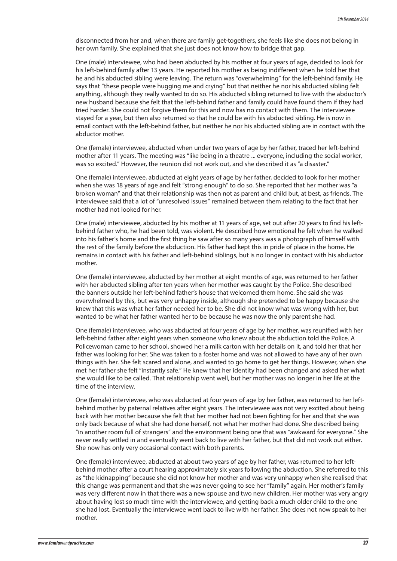disconnected from her and, when there are family get-togethers, she feels like she does not belong in her own family. She explained that she just does not know how to bridge that gap.

One (male) interviewee, who had been abducted by his mother at four years of age, decided to look for his left-behind family after 13 years. He reported his mother as being indifferent when he told her that he and his abducted sibling were leaving. The return was "overwhelming" for the left-behind family. He says that "these people were hugging me and crying" but that neither he nor his abducted sibling felt anything, although they really wanted to do so. His abducted sibling returned to live with the abductor's new husband because she felt that the left-behind father and family could have found them if they had tried harder. She could not forgive them for this and now has no contact with them. The interviewee stayed for a year, but then also returned so that he could be with his abducted sibling. He is now in email contact with the left-behind father, but neither he nor his abducted sibling are in contact with the abductor mother.

One (female) interviewee, abducted when under two years of age by her father, traced her left-behind mother after 11 years. The meeting was "like being in a theatre ... everyone, including the social worker, was so excited." However, the reunion did not work out, and she described it as "a disaster."

One (female) interviewee, abducted at eight years of age by her father, decided to look for her mother when she was 18 years of age and felt "strong enough" to do so. She reported that her mother was "a broken woman" and that their relationship was then not as parent and child but, at best, as friends. The interviewee said that a lot of "unresolved issues" remained between them relating to the fact that her mother had not looked for her.

One (male) interviewee, abducted by his mother at 11 years of age, set out after 20 years to find his leftbehind father who, he had been told, was violent. He described how emotional he felt when he walked into his father's home and the first thing he saw after so many years was a photograph of himself with the rest of the family before the abduction. His father had kept this in pride of place in the home. He remains in contact with his father and left-behind siblings, but is no longer in contact with his abductor mother.

One (female) interviewee, abducted by her mother at eight months of age, was returned to her father with her abducted sibling after ten years when her mother was caught by the Police. She described the banners outside her left-behind father's house that welcomed them home. She said she was overwhelmed by this, but was very unhappy inside, although she pretended to be happy because she knew that this was what her father needed her to be. She did not know what was wrong with her, but wanted to be what her father wanted her to be because he was now the only parent she had.

One (female) interviewee, who was abducted at four years of age by her mother, was reunified with her left-behind father after eight years when someone who knew about the abduction told the Police. A Policewoman came to her school, showed her a milk carton with her details on it, and told her that her father was looking for her. She was taken to a foster home and was not allowed to have any of her own things with her. She felt scared and alone, and wanted to go home to get her things. However, when she met her father she felt "instantly safe." He knew that her identity had been changed and asked her what she would like to be called. That relationship went well, but her mother was no longer in her life at the time of the interview.

One (female) interviewee, who was abducted at four years of age by her father, was returned to her leftbehind mother by paternal relatives after eight years. The interviewee was not very excited about being back with her mother because she felt that her mother had not been fighting for her and that she was only back because of what she had done herself, not what her mother had done. She described being "in another room full of strangers" and the environment being one that was "awkward for everyone." She never really settled in and eventually went back to live with her father, but that did not work out either. She now has only very occasional contact with both parents.

One (female) interviewee, abducted at about two years of age by her father, was returned to her leftbehind mother after a court hearing approximately six years following the abduction. She referred to this as "the kidnapping" because she did not know her mother and was very unhappy when she realised that this change was permanent and that she was never going to see her "family" again. Her mother's family was very different now in that there was a new spouse and two new children. Her mother was very angry about having lost so much time with the interviewee, and getting back a much older child to the one she had lost. Eventually the interviewee went back to live with her father. She does not now speak to her mother.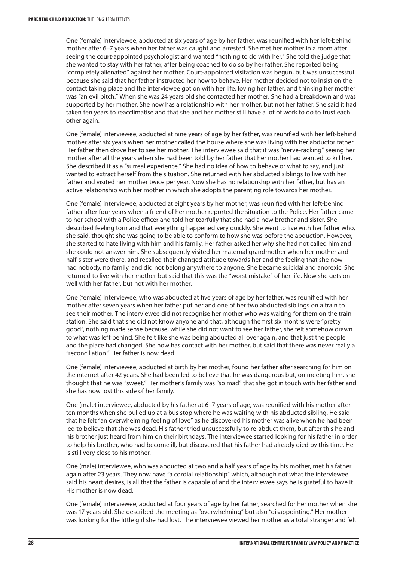One (female) interviewee, abducted at six years of age by her father, was reunified with her left-behind mother after 6–7 years when her father was caught and arrested. She met her mother in a room after seeing the court-appointed psychologist and wanted "nothing to do with her." She told the judge that she wanted to stay with her father, after being coached to do so by her father. She reported being "completely alienated" against her mother. Court-appointed visitation was begun, but was unsuccessful because she said that her father instructed her how to behave. Her mother decided not to insist on the contact taking place and the interviewee got on with her life, loving her father, and thinking her mother was "an evil bitch." When she was 24 years old she contacted her mother. She had a breakdown and was supported by her mother. She now has a relationship with her mother, but not her father. She said it had taken ten years to reacclimatise and that she and her mother still have a lot of work to do to trust each other again.

One (female) interviewee, abducted at nine years of age by her father, was reunified with her left-behind mother after six years when her mother called the house where she was living with her abductor father. Her father then drove her to see her mother. The interviewee said that it was "nerve-racking" seeing her mother after all the years when she had been told by her father that her mother had wanted to kill her. She described it as a "surreal experience." She had no idea of how to behave or what to say, and just wanted to extract herself from the situation. She returned with her abducted siblings to live with her father and visited her mother twice per year. Now she has no relationship with her father, but has an active relationship with her mother in which she adopts the parenting role towards her mother.

One (female) interviewee, abducted at eight years by her mother, was reunified with her left-behind father after four years when a friend of her mother reported the situation to the Police. Her father came to her school with a Police officer and told her tearfully that she had a new brother and sister. She described feeling torn and that everything happened very quickly. She went to live with her father who, she said, thought she was going to be able to conform to how she was before the abduction. However, she started to hate living with him and his family. Her father asked her why she had not called him and she could not answer him. She subsequently visited her maternal grandmother when her mother and half-sister were there, and recalled their changed attitude towards her and the feeling that she now had nobody, no family, and did not belong anywhere to anyone. She became suicidal and anorexic. She returned to live with her mother but said that this was the "worst mistake" of her life. Now she gets on well with her father, but not with her mother.

One (female) interviewee, who was abducted at five years of age by her father, was reunified with her mother after seven years when her father put her and one of her two abducted siblings on a train to see their mother. The interviewee did not recognise her mother who was waiting for them on the train station. She said that she did not know anyone and that, although the first six months were "pretty good", nothing made sense because, while she did not want to see her father, she felt somehow drawn to what was left behind. She felt like she was being abducted all over again, and that just the people and the place had changed. She now has contact with her mother, but said that there was never really a "reconciliation." Her father is now dead.

One (female) interviewee, abducted at birth by her mother, found her father after searching for him on the internet after 42 years. She had been led to believe that he was dangerous but, on meeting him, she thought that he was "sweet." Her mother's family was "so mad" that she got in touch with her father and she has now lost this side of her family.

One (male) interviewee, abducted by his father at 6–7 years of age, was reunified with his mother after ten months when she pulled up at a bus stop where he was waiting with his abducted sibling. He said that he felt "an overwhelming feeling of love" as he discovered his mother was alive when he had been led to believe that she was dead. His father tried unsuccessfully to re-abduct them, but after this he and his brother just heard from him on their birthdays. The interviewee started looking for his father in order to help his brother, who had become ill, but discovered that his father had already died by this time. He is still very close to his mother.

One (male) interviewee, who was abducted at two and a half years of age by his mother, met his father again after 23 years. They now have "a cordial relationship" which, although not what the interviewee said his heart desires, is all that the father is capable of and the interviewee says he is grateful to have it. His mother is now dead.

One (female) interviewee, abducted at four years of age by her father, searched for her mother when she was 17 years old. She described the meeting as "overwhelming" but also "disappointing." Her mother was looking for the little girl she had lost. The interviewee viewed her mother as a total stranger and felt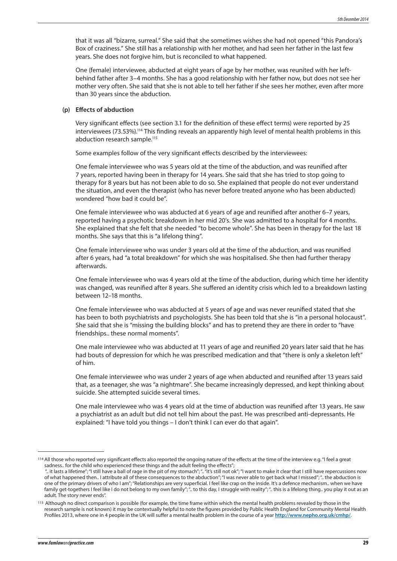that it was all "bizarre, surreal." She said that she sometimes wishes she had not opened "this Pandora's Box of craziness." She still has a relationship with her mother, and had seen her father in the last few years. She does not forgive him, but is reconciled to what happened.

One (female) interviewee, abducted at eight years of age by her mother, was reunited with her leftbehind father after 3–4 months. She has a good relationship with her father now, but does not see her mother very often. She said that she is not able to tell her father if she sees her mother, even after more than 30 years since the abduction.

#### **(p) Effects of abduction**

Very significant effects (see section 3.1 for the definition of these effect terms) were reported by 25 interviewees (73.53%).<sup>114</sup> This finding reveals an apparently high level of mental health problems in this abduction research sample.<sup>115</sup>

Some examples follow of the very significant effects described by the interviewees:

One female interviewee who was 5 years old at the time of the abduction, and was reunified after 7 years, reported having been in therapy for 14 years. She said that she has tried to stop going to therapy for 8 years but has not been able to do so. She explained that people do not ever understand the situation, and even the therapist (who has never before treated anyone who has been abducted) wondered "how bad it could be".

One female interviewee who was abducted at 6 years of age and reunified after another 6–7 years, reported having a psychotic breakdown in her mid 20's. She was admitted to a hospital for 4 months. She explained that she felt that she needed "to become whole". She has been in therapy for the last 18 months. She says that this is "a lifelong thing".

One female interviewee who was under 3 years old at the time of the abduction, and was reunified after 6 years, had "a total breakdown" for which she was hospitalised. She then had further therapy afterwards.

One female interviewee who was 4 years old at the time of the abduction, during which time her identity was changed, was reunified after 8 years. She suffered an identity crisis which led to a breakdown lasting between 12–18 months.

One female interviewee who was abducted at 5 years of age and was never reunified stated that she has been to both psychiatrists and psychologists. She has been told that she is "in a personal holocaust". She said that she is "missing the building blocks" and has to pretend they are there in order to "have friendships.. these normal moments".

One male interviewee who was abducted at 11 years of age and reunified 20 years later said that he has had bouts of depression for which he was prescribed medication and that "there is only a skeleton left" of him.

One female interviewee who was under 2 years of age when abducted and reunified after 13 years said that, as a teenager, she was "a nightmare". She became increasingly depressed, and kept thinking about suicide. She attempted suicide several times.

One male interviewee who was 4 years old at the time of abduction was reunified after 13 years. He saw a psychiatrist as an adult but did not tell him about the past. He was prescribed anti-depressants. He explained: "I have told you things – I don't think I can ever do that again".

<sup>114</sup> All those who reported very significant effects also reported the ongoing nature of the effects at the time of the interview e.g. "I feel a great sadness.. for the child who experienced these things and the adult feeling the effects";

<sup>&</sup>quot;.. it lasts a lifetime"; "I still have a ball of rage in the pit of my stomach"; ".. "it's still not ok"; "I want to make it clear that I still have repercussions now of what happened then.. I attribute all of these consequences to the abduction"; "I was never able to get back what I missed"; ".. the abduction is one of the primary drivers of who I am"; "Relationships are very superficial. I feel like crap on the inside. It's a defence mechanism.. when we have family get-togethers I feel like I do not belong to my own family"; ".. to this day, I struggle with reality"; ".. this is a lifelong thing.. you play it out as an adult. The story never ends".

<sup>&</sup>lt;sup>115</sup> Although no direct comparison is possible (for example, the time frame within which the mental health problems revealed by those in the research sample is not known) it may be contextually helpful to note the figures provided by Public Health England for Community Mental Health Profiles 2013, where one in 4 people in the UK will suffer a mental health problem in the course of a year **http://www.nepho.org.uk/cmhp/**.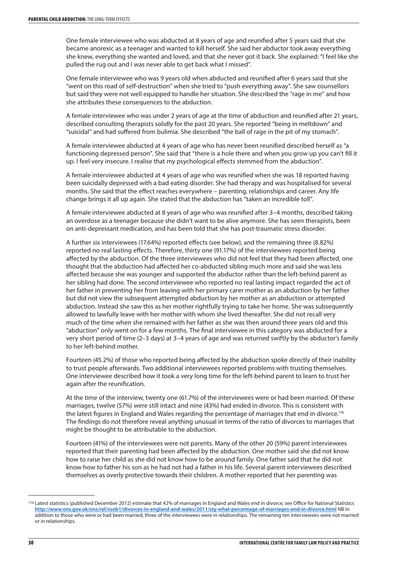One female interviewee who was abducted at 8 years of age and reunified after 5 years said that she became anorexic as a teenager and wanted to kill herself. She said her abductor took away everything she knew, everything she wanted and loved, and that she never got it back. She explained: "I feel like she pulled the rug out and I was never able to get back what I missed".

One female interviewee who was 9 years old when abducted and reunified after 6 years said that she "went on this road of self-destruction" when she tried to "push everything away". She saw counsellors but said they were not well equipped to handle her situation. She described the "rage in me" and how she attributes these consequences to the abduction.

A female interviewee who was under 2 years of age at the time of abduction and reunified after 21 years, described consulting therapists solidly for the past 20 years. She reported "being in meltdown" and "suicidal" and had suffered from bulimia. She described "the ball of rage in the pit of my stomach".

A female interviewee abducted at 4 years of age who has never been reunified described herself as "a functioning depressed person". She said that "there is a hole there and when you grow up you can't fill it up. I feel very insecure. I realise that my psychological effects stemmed from the abduction".

A female interviewee abducted at 4 years of age who was reunified when she was 18 reported having been suicidally depressed with a bad eating disorder. She had therapy and was hospitalised for several months. She said that the effect reaches everywhere – parenting, relationships and career. Any life change brings it all up again. She stated that the abduction has "taken an incredible toll".

A female interviewee abducted at 8 years of age who was reunified after 3–4 months, described taking an overdose as a teenager because she didn't want to be alive anymore. She has seen therapists, been on anti-depressant medication, and has been told that she has post-traumatic stress disorder.

A further six interviewees (17.64%) reported effects (see below), and the remaining three (8.82%) reported no real lasting effects. Therefore, thirty one (91.17%) of the interviewees reported being affected by the abduction. Of the three interviewees who did not feel that they had been affected, one thought that the abduction had affected her co-abducted sibling much more and said she was less affected because she was younger and supported the abductor rather than the left-behind parent as her sibling had done. The second interviewee who reported no real lasting impact regarded the act of her father in preventing her from leaving with her primary carer mother as an abduction by her father but did not view the subsequent attempted abduction by her mother as an abduction or attempted abduction. Instead she saw this as her mother rightfully trying to take her home. She was subsequently allowed to lawfully leave with her mother with whom she lived thereafter. She did not recall very much of the time when she remained with her father as she was then around three years old and this "abduction" only went on for a few months. The final interviewee in this category was abducted for a very short period of time (2–3 days) at 3–4 years of age and was returned swiftly by the abductor's family to her left-behind mother.

Fourteen (45.2%) of those who reported being affected by the abduction spoke directly of their inability to trust people afterwards. Two additional interviewees reported problems with trusting themselves. One interviewee described how it took a very long time for the left-behind parent to learn to trust her again after the reunification.

At the time of the interview, twenty one (61.7%) of the interviewees were or had been married. Of these marriages, twelve (57%) were still intact and nine (43%) had ended in divorce. This is consistent with the latest figures in England and Wales regarding the percentage of marriages that end in divorce.<sup>116</sup> The findings do not therefore reveal anything unusual in terms of the ratio of divorces to marriages that might be thought to be attributable to the abduction.

Fourteen (41%) of the interviewees were not parents. Many of the other 20 (59%) parent interviewees reported that their parenting had been affected by the abduction. One mother said she did not know how to raise her child as she did not know how to be around family. One father said that he did not know how to father his son as he had not had a father in his life. Several parent interviewees described themselves as overly protective towards their children. A mother reported that her parenting was

<sup>116</sup> Latest statistics (published December 2012) estimate that 42% of marriages in England and Wales end in divorce, see Office for National Statistics **http://www.ons.gov.uk/ons/rel/vsob1/divorces-in-england-and-wales/2011/sty-what-percentage-of-marriages-end-in-divorce.html** NB In addition to those who were or had been married, three of the interviewees were in relationships. The remaining ten interviewees were not married or in relationships.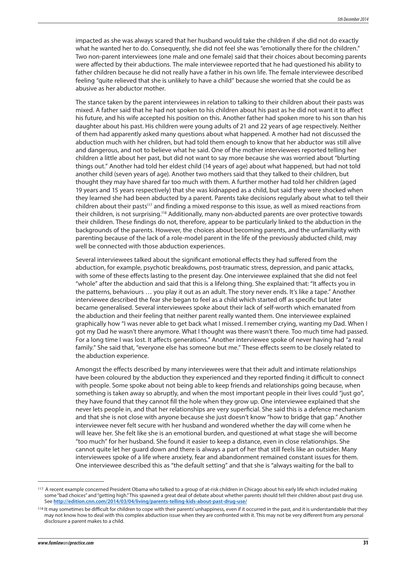impacted as she was always scared that her husband would take the children if she did not do exactly what he wanted her to do. Consequently, she did not feel she was "emotionally there for the children." Two non-parent interviewees (one male and one female) said that their choices about becoming parents were affected by their abductions. The male interviewee reported that he had questioned his ability to father children because he did not really have a father in his own life. The female interviewee described feeling "quite relieved that she is unlikely to have a child" because she worried that she could be as abusive as her abductor mother.

The stance taken by the parent interviewees in relation to talking to their children about their pasts was mixed. A father said that he had not spoken to his children about his past as he did not want it to affect his future, and his wife accepted his position on this. Another father had spoken more to his son than his daughter about his past. His children were young adults of 21 and 22 years of age respectively. Neither of them had apparently asked many questions about what happened. A mother had not discussed the abduction much with her children, but had told them enough to know that her abductor was still alive and dangerous, and not to believe what he said. One of the mother interviewees reported telling her children a little about her past, but did not want to say more because she was worried about "blurting things out." Another had told her eldest child (14 years of age) about what happened, but had not told another child (seven years of age). Another two mothers said that they talked to their children, but thought they may have shared far too much with them. A further mother had told her children (aged 19 years and 15 years respectively) that she was kidnapped as a child, but said they were shocked when they learned she had been abducted by a parent. Parents take decisions regularly about what to tell their children about their pasts<sup>117</sup> and finding a mixed response to this issue, as well as mixed reactions from their children, is not surprising.118 Additionally, many non-abducted parents are over protective towards their children. These findings do not, therefore, appear to be particularly linked to the abduction in the backgrounds of the parents. However, the choices about becoming parents, and the unfamiliarity with parenting because of the lack of a role-model parent in the life of the previously abducted child, may well be connected with those abduction experiences.

Several interviewees talked about the significant emotional effects they had suffered from the abduction, for example, psychotic breakdowns, post-traumatic stress, depression, and panic attacks, with some of these effects lasting to the present day. One interviewee explained that she did not feel "whole" after the abduction and said that this is a lifelong thing. She explained that: "It affects you in the patterns, behaviours … you play it out as an adult. The story never ends. It's like a tape." Another interviewee described the fear she began to feel as a child which started off as specific but later became generalised. Several interviewees spoke about their lack of self-worth which emanated from the abduction and their feeling that neither parent really wanted them. One interviewee explained graphically how "I was never able to get back what I missed. I remember crying, wanting my Dad. When I got my Dad he wasn't there anymore. What I thought was there wasn't there. Too much time had passed. For a long time I was lost. It affects generations." Another interviewee spoke of never having had "a real family." She said that, "everyone else has someone but me." These effects seem to be closely related to the abduction experience.

Amongst the effects described by many interviewees were that their adult and intimate relationships have been coloured by the abduction they experienced and they reported finding it difficult to connect with people. Some spoke about not being able to keep friends and relationships going because, when something is taken away so abruptly, and when the most important people in their lives could "just go", they have found that they cannot fill the hole when they grow up. One interviewee explained that she never lets people in, and that her relationships are very superficial. She said this is a defence mechanism and that she is not close with anyone because she just doesn't know "how to bridge that gap." Another interviewee never felt secure with her husband and wondered whether the day will come when he will leave her. She felt like she is an emotional burden, and questioned at what stage she will become "too much" for her husband. She found it easier to keep a distance, even in close relationships. She cannot quite let her guard down and there is always a part of her that still feels like an outsider. Many interviewees spoke of a life where anxiety, fear and abandonment remained constant issues for them. One interviewee described this as "the default setting" and that she is "always waiting for the ball to

<sup>117</sup> A recent example concerned President Obama who talked to a group of at-risk children in Chicago about his early life which included making some "bad choices" and "getting high." This spawned a great deal of debate about whether parents should tell their children about past drug use. See **http://edition.cnn.com/2014/03/04/living/parents-telling-kids-about-past-drug-use/**

<sup>&</sup>lt;sup>118</sup> It may sometimes be difficult for children to cope with their parents' unhappiness, even if it occurred in the past, and it is understandable that they may not know how to deal with this complex abduction issue when they are confronted with it. This may not be very different from any personal disclosure a parent makes to a child.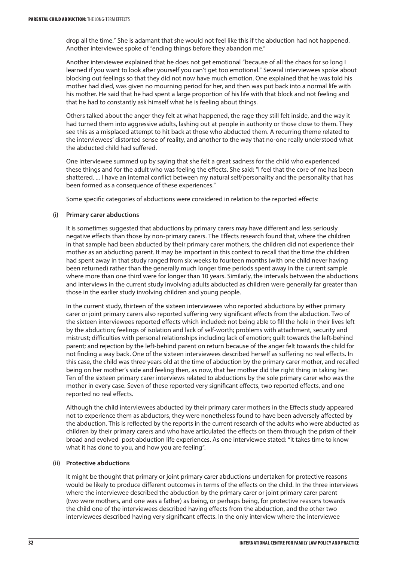drop all the time." She is adamant that she would not feel like this if the abduction had not happened. Another interviewee spoke of "ending things before they abandon me."

Another interviewee explained that he does not get emotional "because of all the chaos for so long I learned if you want to look after yourself you can't get too emotional." Several interviewees spoke about blocking out feelings so that they did not now have much emotion. One explained that he was told his mother had died, was given no mourning period for her, and then was put back into a normal life with his mother. He said that he had spent a large proportion of his life with that block and not feeling and that he had to constantly ask himself what he is feeling about things.

Others talked about the anger they felt at what happened, the rage they still felt inside, and the way it had turned them into aggressive adults, lashing out at people in authority or those close to them. They see this as a misplaced attempt to hit back at those who abducted them. A recurring theme related to the interviewees' distorted sense of reality, and another to the way that no-one really understood what the abducted child had suffered.

One interviewee summed up by saying that she felt a great sadness for the child who experienced these things and for the adult who was feeling the effects. She said: "I feel that the core of me has been shattered. ... I have an internal conflict between my natural self/personality and the personality that has been formed as a consequence of these experiences."

Some specific categories of abductions were considered in relation to the reported effects:

#### **(i) Primary carer abductions**

It is sometimes suggested that abductions by primary carers may have different and less seriously negative effects than those by non-primary carers. The Effects research found that, where the children in that sample had been abducted by their primary carer mothers, the children did not experience their mother as an abducting parent. It may be important in this context to recall that the time the children had spent away in that study ranged from six weeks to fourteen months (with one child never having been returned) rather than the generally much longer time periods spent away in the current sample where more than one third were for longer than 10 years. Similarly, the intervals between the abductions and interviews in the current study involving adults abducted as children were generally far greater than those in the earlier study involving children and young people.

In the current study, thirteen of the sixteen interviewees who reported abductions by either primary carer or joint primary carers also reported suffering very significant effects from the abduction. Two of the sixteen interviewees reported effects which included: not being able to fill the hole in their lives left by the abduction; feelings of isolation and lack of self-worth; problems with attachment, security and mistrust; difficulties with personal relationships including lack of emotion; guilt towards the left-behind parent; and rejection by the left-behind parent on return because of the anger felt towards the child for not finding a way back. One of the sixteen interviewees described herself as suffering no real effects. In this case, the child was three years old at the time of abduction by the primary carer mother, and recalled being on her mother's side and feeling then, as now, that her mother did the right thing in taking her. Ten of the sixteen primary carer interviews related to abductions by the sole primary carer who was the mother in every case. Seven of these reported very significant effects, two reported effects, and one reported no real effects.

Although the child interviewees abducted by their primary carer mothers in the Effects study appeared not to experience them as abductors, they were nonetheless found to have been adversely affected by the abduction. This is reflected by the reports in the current research of the adults who were abducted as children by their primary carers and who have articulated the effects on them through the prism of their broad and evolved post-abduction life experiences. As one interviewee stated: "it takes time to know what it has done to you, and how you are feeling".

#### **(ii) Protective abductions**

It might be thought that primary or joint primary carer abductions undertaken for protective reasons would be likely to produce different outcomes in terms of the effects on the child. In the three interviews where the interviewee described the abduction by the primary carer or joint primary carer parent (two were mothers, and one was a father) as being, or perhaps being, for protective reasons towards the child one of the interviewees described having effects from the abduction, and the other two interviewees described having very significant effects. In the only interview where the interviewee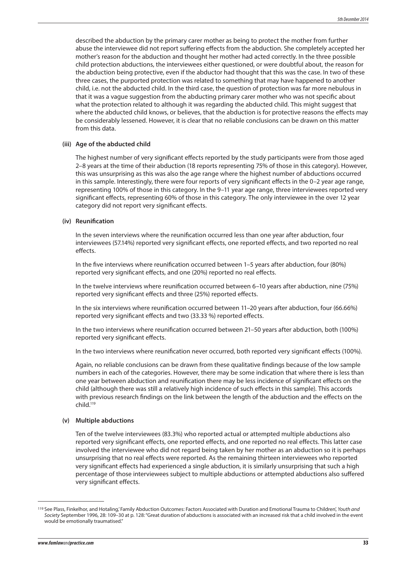described the abduction by the primary carer mother as being to protect the mother from further abuse the interviewee did not report suffering effects from the abduction. She completely accepted her mother's reason for the abduction and thought her mother had acted correctly. In the three possible child protection abductions, the interviewees either questioned, or were doubtful about, the reason for the abduction being protective, even if the abductor had thought that this was the case. In two of these three cases, the purported protection was related to something that may have happened to another child, i.e. not the abducted child. In the third case, the question of protection was far more nebulous in that it was a vague suggestion from the abducting primary carer mother who was not specific about what the protection related to although it was regarding the abducted child. This might suggest that where the abducted child knows, or believes, that the abduction is for protective reasons the effects may be considerably lessened. However, it is clear that no reliable conclusions can be drawn on this matter from this data.

#### **(iii) Age of the abducted child**

The highest number of very significant effects reported by the study participants were from those aged 2–8 years at the time of their abduction (18 reports representing 75% of those in this category). However, this was unsurprising as this was also the age range where the highest number of abductions occurred in this sample. Interestingly, there were four reports of very significant effects in the 0–2 year age range, representing 100% of those in this category. In the 9–11 year age range, three interviewees reported very significant effects, representing 60% of those in this category. The only interviewee in the over 12 year category did not report very significant effects.

#### **(iv) Reunification**

In the seven interviews where the reunification occurred less than one year after abduction, four interviewees (57.14%) reported very significant effects, one reported effects, and two reported no real effects.

In the five interviews where reunification occurred between 1–5 years after abduction, four (80%) reported very significant effects, and one (20%) reported no real effects.

In the twelve interviews where reunification occurred between 6–10 years after abduction, nine (75%) reported very significant effects and three (25%) reported effects.

In the six interviews where reunification occurred between 11–20 years after abduction, four (66.66%) reported very significant effects and two (33.33 %) reported effects.

In the two interviews where reunification occurred between 21–50 years after abduction, both (100%) reported very significant effects.

In the two interviews where reunification never occurred, both reported very significant effects (100%).

Again, no reliable conclusions can be drawn from these qualitative findings because of the low sample numbers in each of the categories. However, there may be some indication that where there is less than one year between abduction and reunification there may be less incidence of significant effects on the child (although there was still a relatively high incidence of such effects in this sample). This accords with previous research findings on the link between the length of the abduction and the effects on the child.119

#### **(v) Multiple abductions**

Ten of the twelve interviewees (83.3%) who reported actual or attempted multiple abductions also reported very significant effects, one reported effects, and one reported no real effects. This latter case involved the interviewee who did not regard being taken by her mother as an abduction so it is perhaps unsurprising that no real effects were reported. As the remaining thirteen interviewees who reported very significant effects had experienced a single abduction, it is similarly unsurprising that such a high percentage of those interviewees subject to multiple abductions or attempted abductions also suffered very significant effects.

<sup>119</sup> See Plass, Finkelhor, and Hotaling,' Family Abduction Outcomes: Factors Associated with Duration and Emotional Trauma to Children', *Youth and Society* September 1996, 28: 109–30 at p. 128: "Great duration of abductions is associated with an increased risk that a child involved in the event would be emotionally traumatised."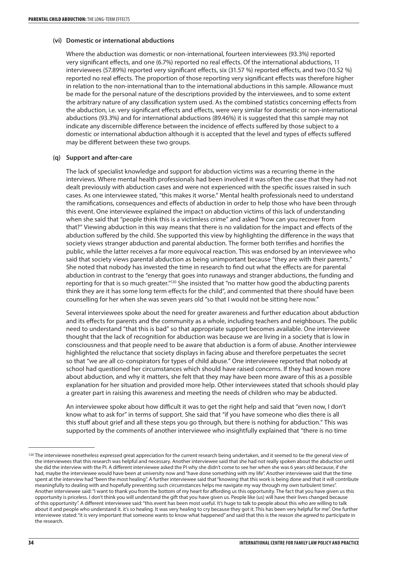#### **(vi) Domestic or international abductions**

Where the abduction was domestic or non-international, fourteen interviewees (93.3%) reported very significant effects, and one (6.7%) reported no real effects. Of the international abductions, 11 interviewees (57.89%) reported very significant effects, six (31.57 %) reported effects, and two (10.52 %) reported no real effects. The proportion of those reporting very significant effects was therefore higher in relation to the non-international than to the international abductions in this sample. Allowance must be made for the personal nature of the descriptions provided by the interviewees, and to some extent the arbitrary nature of any classification system used. As the combined statistics concerning effects from the abduction, i.e. very significant effects and effects, were very similar for domestic or non-international abductions (93.3%) and for international abductions (89.46%) it is suggested that this sample may not indicate any discernible difference between the incidence of effects suffered by those subject to a domestic or international abduction although it is accepted that the level and types of effects suffered may be different between these two groups.

#### **(q) Support and after-care**

The lack of specialist knowledge and support for abduction victims was a recurring theme in the interviews. Where mental health professionals had been involved it was often the case that they had not dealt previously with abduction cases and were not experienced with the specific issues raised in such cases. As one interviewee stated, "this makes it worse." Mental health professionals need to understand the ramifications, consequences and effects of abduction in order to help those who have been through this event. One interviewee explained the impact on abduction victims of this lack of understanding when she said that "people think this is a victimless crime" and asked "how can you recover from that?" Viewing abduction in this way means that there is no validation for the impact and effects of the abduction suffered by the child. She supported this view by highlighting the difference in the ways that society views stranger abduction and parental abduction. The former both terrifies and horrifies the public, while the latter receives a far more equivocal reaction. This was endorsed by an interviewee who said that society views parental abduction as being unimportant because "they are with their parents." She noted that nobody has invested the time in research to find out what the effects are for parental abduction in contrast to the "energy that goes into runaways and stranger abductions, the funding and reporting for that is so much greater."120 She insisted that "no matter how good the abducting parents think they are it has some long term effects for the child", and commented that there should have been counselling for her when she was seven years old "so that I would not be sitting here now."

Several interviewees spoke about the need for greater awareness and further education about abduction and its effects for parents and the community as a whole, including teachers and neighbours. The public need to understand "that this is bad" so that appropriate support becomes available. One interviewee thought that the lack of recognition for abduction was because we are living in a society that is low in consciousness and that people need to be aware that abduction is a form of abuse. Another interviewee highlighted the reluctance that society displays in facing abuse and therefore perpetuates the secret so that "we are all co-conspirators for types of child abuse." One interviewee reported that nobody at school had questioned her circumstances which should have raised concerns. If they had known more about abduction, and why it matters, she felt that they may have been more aware of this as a possible explanation for her situation and provided more help. Other interviewees stated that schools should play a greater part in raising this awareness and meeting the needs of children who may be abducted.

An interviewee spoke about how difficult it was to get the right help and said that "even now, I don't know what to ask for" in terms of support. She said that "if you have someone who dies there is all this stuff about grief and all these steps you go through, but there is nothing for abduction." This was supported by the comments of another interviewee who insightfully explained that "there is no time

<sup>120</sup> The interviewee nonetheless expressed great appreciation for the current research being undertaken, and it seemed to be the general view of the interviewees that this research was helpful and necessary. Another interviewee said that she had not really spoken about the abduction until she did the interview with the PI. A different interviewee asked the PI why she didn't come to see her when she was 6 years old because, if she had, maybe the interviewee would have been at university now and "have done something with my life". Another interviewee said that the time spent at the interview had "been the most healing". A further interviewee said that "knowing that this work is being done and that it will contribute meaningfully to dealing with and hopefully preventing such circumstances helps me navigate my way through my own turbulent times". Another interviewee said: "I want to thank you from the bottom of my heart for affording us this opportunity. The fact that you have given us this opportunity is priceless. I don't think you will understand the gift that you have given us. People like (us) will have their lives changed because of this opportunity". A different interviewee said: "this event has been most useful. It's huge to talk to people about this who are willing to talk about it and people who understand it. it's so healing. It was very healing to cry because they got it. This has been very helpful for me". One further interviewee stated: "it is very important that someone wants to know what happened" and said that this is the reason she agreed to participate in the research.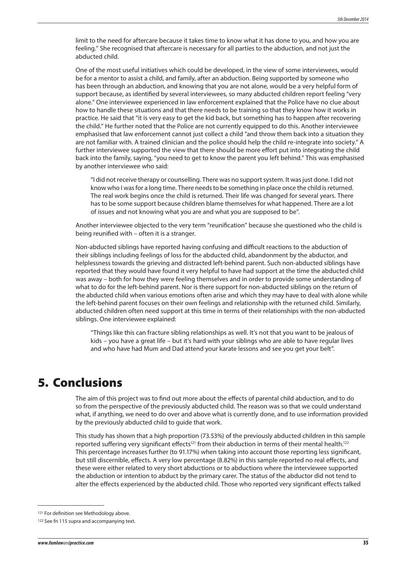limit to the need for aftercare because it takes time to know what it has done to you, and how you are feeling." She recognised that aftercare is necessary for all parties to the abduction, and not just the abducted child.

One of the most useful initiatives which could be developed, in the view of some interviewees, would be for a mentor to assist a child, and family, after an abduction. Being supported by someone who has been through an abduction, and knowing that you are not alone, would be a very helpful form of support because, as identified by several interviewees, so many abducted children report feeling "very alone." One interviewee experienced in law enforcement explained that the Police have no clue about how to handle these situations and that there needs to be training so that they know how it works in practice. He said that "it is very easy to get the kid back, but something has to happen after recovering the child." He further noted that the Police are not currently equipped to do this. Another interviewee emphasised that law enforcement cannot just collect a child "and throw them back into a situation they are not familiar with. A trained clinician and the police should help the child re-integrate into society." A further interviewee supported the view that there should be more effort put into integrating the child back into the family, saying, "you need to get to know the parent you left behind." This was emphasised by another interviewee who said:

"I did not receive therapy or counselling. There was no support system. It was just done. I did not know who I was for a long time. There needs to be something in place once the child is returned. The real work begins once the child is returned. Their life was changed for several years. There has to be some support because children blame themselves for what happened. There are a lot of issues and not knowing what you are and what you are supposed to be".

Another interviewee objected to the very term "reunification" because she questioned who the child is being reunified with – often it is a stranger.

Non-abducted siblings have reported having confusing and difficult reactions to the abduction of their siblings including feelings of loss for the abducted child, abandonment by the abductor, and helplessness towards the grieving and distracted left-behind parent. Such non-abducted siblings have reported that they would have found it very helpful to have had support at the time the abducted child was away – both for how they were feeling themselves and in order to provide some understanding of what to do for the left-behind parent. Nor is there support for non-abducted siblings on the return of the abducted child when various emotions often arise and which they may have to deal with alone while the left-behind parent focuses on their own feelings and relationship with the returned child. Similarly, abducted children often need support at this time in terms of their relationships with the non-abducted siblings. One interviewee explained:

"Things like this can fracture sibling relationships as well. It's not that you want to be jealous of kids – you have a great life – but it's hard with your siblings who are able to have regular lives and who have had Mum and Dad attend your karate lessons and see you get your belt".

# 5. Conclusions

The aim of this project was to find out more about the effects of parental child abduction, and to do so from the perspective of the previously abducted child. The reason was so that we could understand what, if anything, we need to do over and above what is currently done, and to use information provided by the previously abducted child to guide that work.

This study has shown that a high proportion (73.53%) of the previously abducted children in this sample reported suffering very significant effects<sup>121</sup> from their abduction in terms of their mental health.<sup>122</sup> This percentage increases further (to 91.17%) when taking into account those reporting less significant, but still discernible, effects. A very low percentage (8.82%) in this sample reported no real effects, and these were either related to very short abductions or to abductions where the interviewee supported the abduction or intention to abduct by the primary carer. The status of the abductor did not tend to alter the effects experienced by the abducted child. Those who reported very significant effects talked

<sup>121</sup> For definition see Methodology above.

<sup>122</sup> See fn 115 supra and accompanying text.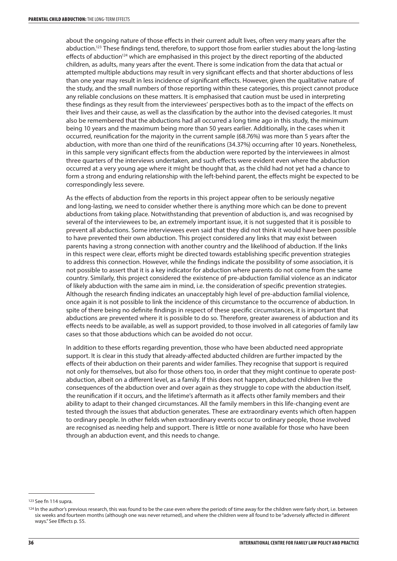about the ongoing nature of those effects in their current adult lives, often very many years after the abduction.<sup>123</sup> These findings tend, therefore, to support those from earlier studies about the long-lasting effects of abduction<sup>124</sup> which are emphasised in this project by the direct reporting of the abducted children, as adults, many years after the event. There is some indication from the data that actual or attempted multiple abductions may result in very significant effects and that shorter abductions of less than one year may result in less incidence of significant effects. However, given the qualitative nature of the study, and the small numbers of those reporting within these categories, this project cannot produce any reliable conclusions on these matters. It is emphasised that caution must be used in interpreting these findings as they result from the interviewees' perspectives both as to the impact of the effects on their lives and their cause, as well as the classification by the author into the devised categories. It must also be remembered that the abductions had all occurred a long time ago in this study, the minimum being 10 years and the maximum being more than 50 years earlier. Additionally, in the cases when it occurred, reunification for the majority in the current sample (68.76%) was more than 5 years after the abduction, with more than one third of the reunifications (34.37%) occurring after 10 years. Nonetheless, in this sample very significant effects from the abduction were reported by the interviewees in almost three quarters of the interviews undertaken, and such effects were evident even where the abduction occurred at a very young age where it might be thought that, as the child had not yet had a chance to form a strong and enduring relationship with the left-behind parent, the effects might be expected to be correspondingly less severe.

As the effects of abduction from the reports in this project appear often to be seriously negative and long-lasting, we need to consider whether there is anything more which can be done to prevent abductions from taking place. Notwithstanding that prevention of abduction is, and was recognised by several of the interviewees to be, an extremely important issue, it is not suggested that it is possible to prevent all abductions. Some interviewees even said that they did not think it would have been possible to have prevented their own abduction. This project considered any links that may exist between parents having a strong connection with another country and the likelihood of abduction. If the links in this respect were clear, efforts might be directed towards establishing specific prevention strategies to address this connection. However, while the findings indicate the possibility of some association, it is not possible to assert that it is a key indicator for abduction where parents do not come from the same country. Similarly, this project considered the existence of pre-abduction familial violence as an indicator of likely abduction with the same aim in mind, i.e. the consideration of specific prevention strategies. Although the research finding indicates an unacceptably high level of pre-abduction familial violence, once again it is not possible to link the incidence of this circumstance to the occurrence of abduction. In spite of there being no definite findings in respect of these specific circumstances, it is important that abductions are prevented where it is possible to do so. Therefore, greater awareness of abduction and its effects needs to be available, as well as support provided, to those involved in all categories of family law cases so that those abductions which can be avoided do not occur.

In addition to these efforts regarding prevention, those who have been abducted need appropriate support. It is clear in this study that already-affected abducted children are further impacted by the effects of their abduction on their parents and wider families. They recognise that support is required not only for themselves, but also for those others too, in order that they might continue to operate postabduction, albeit on a different level, as a family. If this does not happen, abducted children live the consequences of the abduction over and over again as they struggle to cope with the abduction itself, the reunification if it occurs, and the lifetime's aftermath as it affects other family members and their ability to adapt to their changed circumstances. All the family members in this life-changing event are tested through the issues that abduction generates. These are extraordinary events which often happen to ordinary people. In other fields when extraordinary events occur to ordinary people, those involved are recognised as needing help and support. There is little or none available for those who have been through an abduction event, and this needs to change.

<sup>123</sup> See fn 114 supra.

<sup>&</sup>lt;sup>124</sup> In the author's previous research, this was found to be the case even where the periods of time away for the children were fairly short, i.e. between six weeks and fourteen months (although one was never returned), and where the children were all found to be "adversely affected in different ways." See Effects p. 55.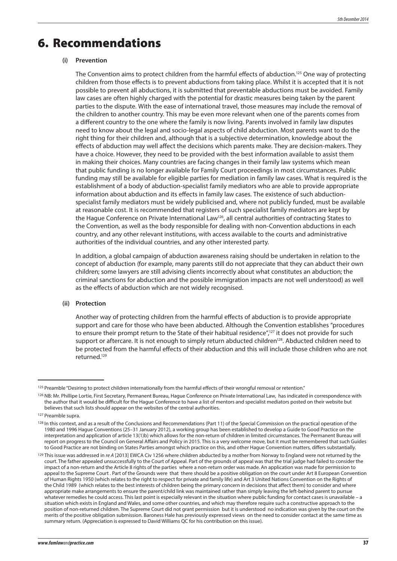# 6. Recommendations

#### **(i) Prevention**

The Convention aims to protect children from the harmful effects of abduction.<sup>125</sup> One way of protecting children from those effects is to prevent abductions from taking place. Whilst it is accepted that it is not possible to prevent all abductions, it is submitted that preventable abductions must be avoided. Family law cases are often highly charged with the potential for drastic measures being taken by the parent parties to the dispute. With the ease of international travel, those measures may include the removal of the children to another country. This may be even more relevant when one of the parents comes from a different country to the one where the family is now living. Parents involved in family law disputes need to know about the legal and socio-legal aspects of child abduction. Most parents want to do the right thing for their children and, although that is a subjective determination, knowledge about the effects of abduction may well affect the decisions which parents make. They are decision-makers. They have a choice. However, they need to be provided with the best information available to assist them in making their choices. Many countries are facing changes in their family law systems which mean that public funding is no longer available for Family Court proceedings in most circumstances. Public funding may still be available for eligible parties for mediation in family law cases. What is required is the establishment of a body of abduction-specialist family mediators who are able to provide appropriate information about abduction and its effects in family law cases. The existence of such abductionspecialist family mediators must be widely publicised and, where not publicly funded, must be available at reasonable cost. It is recommended that registers of such specialist family mediators are kept by the Hague Conference on Private International Law<sup>126</sup>, all central authorities of contracting States to the Convention, as well as the body responsible for dealing with non-Convention abductions in each country, and any other relevant institutions, with access available to the courts and administrative authorities of the individual countries, and any other interested party.

In addition, a global campaign of abduction awareness raising should be undertaken in relation to the concept of abduction (for example, many parents still do not appreciate that they can abduct their own children; some lawyers are still advising clients incorrectly about what constitutes an abduction; the criminal sanctions for abduction and the possible immigration impacts are not well understood) as well as the effects of abduction which are not widely recognised.

#### **(ii) Protection**

Another way of protecting children from the harmful effects of abduction is to provide appropriate support and care for those who have been abducted. Although the Convention establishes "procedures to ensure their prompt return to the State of their habitual residence",<sup>127</sup> it does not provide for such support or aftercare. It is not enough to simply return abducted children<sup>128</sup>. Abducted children need to be protected from the harmful effects of their abduction and this will include those children who are not returned.129

<sup>125</sup> Preamble "Desiring to protect children internationally from the harmful effects of their wrongful removal or retention."

<sup>126</sup> NB: Mr. Phillipe Lortie, First Secretary, Permanent Bureau, Hague Conference on Private International Law, has indicated in correspondence with the author that it would be difficult for the Hague Conference to have a list of mentors and specialist mediators posted on their website but believes that such lists should appear on the websites of the central authorities.

<sup>127</sup> Preamble supra.

<sup>128</sup> In this context, and as a result of the Conclusions and Recommendations (Part 11) of the Special Commission on the practical operation of the 1980 and 1996 Hague Conventions (25–31 January 2012), a working group has been established to develop a Guide to Good Practice on the interpretation and application of article 13(1)b) which allows for the non-return of children in limited circumstances. The Permanent Bureau will report on progress to the Council on General Affairs and Policy in 2015. This is a very welcome move, but it must be remembered that such Guides to Good Practice are not binding on States Parties amongst which practice on this, and other Hague Convention matters, differs substantially.

<sup>129</sup> This issue was addressed in *re A* [2013] EWCA Civ 1256 where children abducted by a mother from Norway to England were not returned by the court. The father appealed unsuccessfully to the Court of Appeal. Part of the grounds of appeal was that the trial judge had failed to consider the impact of a non-return and the Article 8 rights of the parties where a non-return order was made. An application was made for permission to appeal to the Supreme Court . Part of the Grounds were that there should be a positive obligation on the court under Art 8 European Convention of Human Rights 1950 (which relates to the right to respect for private and family life) and Art 3 United Nations Convention on the Rights of the Child 1989 (which relates to the best interests of children being the primary concern in decisions that affect them) to consider and where appropriate make arrangements to ensure the parent/child link was maintained rather than simply leaving the left-behind parent to pursue whatever remedies he could access. This last point is especially relevant in the situation where public funding for contact cases is unavailable situation which exists in England and Wales, and some other countries, and which may therefore require such a constructive approach to the position of non-returned children. The Supreme Court did not grant permission but it is understood no indication was given by the court on the merits of the positive obligation submission. Baroness Hale has previously expressed views on the need to consider contact at the same time as summary return. (Appreciation is expressed to David Williams QC for his contribution on this issue).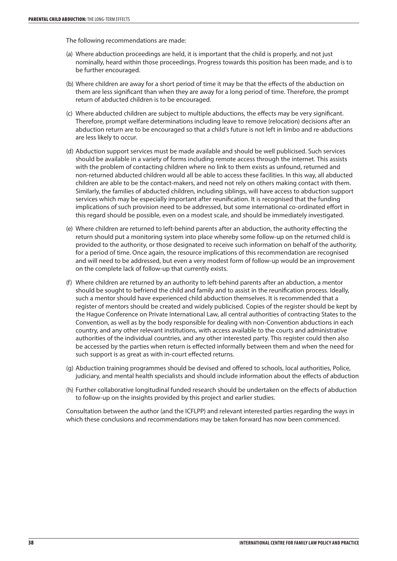The following recommendations are made:

- (a) Where abduction proceedings are held, it is important that the child is properly, and not just nominally, heard within those proceedings. Progress towards this position has been made, and is to be further encouraged.
- (b) Where children are away for a short period of time it may be that the effects of the abduction on them are less significant than when they are away for a long period of time. Therefore, the prompt return of abducted children is to be encouraged.
- (c) Where abducted children are subject to multiple abductions, the effects may be very significant. Therefore, prompt welfare determinations including leave to remove (relocation) decisions after an abduction return are to be encouraged so that a child's future is not left in limbo and re-abductions are less likely to occur.
- (d) Abduction support services must be made available and should be well publicised. Such services should be available in a variety of forms including remote access through the internet. This assists with the problem of contacting children where no link to them exists as unfound, returned and non-returned abducted children would all be able to access these facilities. In this way, all abducted children are able to be the contact-makers, and need not rely on others making contact with them. Similarly, the families of abducted children, including siblings, will have access to abduction support services which may be especially important after reunification. It is recognised that the funding implications of such provision need to be addressed, but some international co-ordinated effort in this regard should be possible, even on a modest scale, and should be immediately investigated.
- (e) Where children are returned to left-behind parents after an abduction, the authority effecting the return should put a monitoring system into place whereby some follow-up on the returned child is provided to the authority, or those designated to receive such information on behalf of the authority, for a period of time. Once again, the resource implications of this recommendation are recognised and will need to be addressed, but even a very modest form of follow-up would be an improvement on the complete lack of follow-up that currently exists.
- (f) Where children are returned by an authority to left-behind parents after an abduction, a mentor should be sought to befriend the child and family and to assist in the reunification process. Ideally, such a mentor should have experienced child abduction themselves. It is recommended that a register of mentors should be created and widely publicised. Copies of the register should be kept by the Hague Conference on Private International Law, all central authorities of contracting States to the Convention, as well as by the body responsible for dealing with non-Convention abductions in each country, and any other relevant institutions, with access available to the courts and administrative authorities of the individual countries, and any other interested party. This register could then also be accessed by the parties when return is effected informally between them and when the need for such support is as great as with in-court effected returns.
- (g) Abduction training programmes should be devised and offered to schools, local authorities, Police, judiciary, and mental health specialists and should include information about the effects of abduction
- (h) Further collaborative longitudinal funded research should be undertaken on the effects of abduction to follow-up on the insights provided by this project and earlier studies.

Consultation between the author (and the ICFLPP) and relevant interested parties regarding the ways in which these conclusions and recommendations may be taken forward has now been commenced.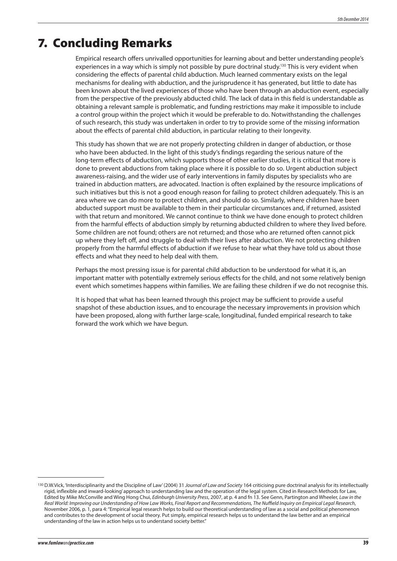# 7. Concluding Remarks

Empirical research offers unrivalled opportunities for learning about and better understanding people's experiences in a way which is simply not possible by pure doctrinal study.<sup>130</sup> This is very evident when considering the effects of parental child abduction. Much learned commentary exists on the legal mechanisms for dealing with abduction, and the jurisprudence it has generated, but little to date has been known about the lived experiences of those who have been through an abduction event, especially from the perspective of the previously abducted child. The lack of data in this field is understandable as obtaining a relevant sample is problematic, and funding restrictions may make it impossible to include a control group within the project which it would be preferable to do. Notwithstanding the challenges of such research, this study was undertaken in order to try to provide some of the missing information about the effects of parental child abduction, in particular relating to their longevity.

This study has shown that we are not properly protecting children in danger of abduction, or those who have been abducted. In the light of this study's findings regarding the serious nature of the long-term effects of abduction, which supports those of other earlier studies, it is critical that more is done to prevent abductions from taking place where it is possible to do so. Urgent abduction subject awareness-raising, and the wider use of early interventions in family disputes by specialists who are trained in abduction matters, are advocated. Inaction is often explained by the resource implications of such initiatives but this is not a good enough reason for failing to protect children adequately. This is an area where we can do more to protect children, and should do so. Similarly, where children have been abducted support must be available to them in their particular circumstances and, if returned, assisted with that return and monitored. We cannot continue to think we have done enough to protect children from the harmful effects of abduction simply by returning abducted children to where they lived before. Some children are not found; others are not returned; and those who are returned often cannot pick up where they left off, and struggle to deal with their lives after abduction. We not protecting children properly from the harmful effects of abduction if we refuse to hear what they have told us about those effects and what they need to help deal with them.

Perhaps the most pressing issue is for parental child abduction to be understood for what it is, an important matter with potentially extremely serious effects for the child, and not some relatively benign event which sometimes happens within families. We are failing these children if we do not recognise this.

It is hoped that what has been learned through this project may be sufficient to provide a useful snapshot of these abduction issues, and to encourage the necessary improvements in provision which have been proposed, along with further large-scale, longitudinal, funded empirical research to take forward the work which we have begun.

<sup>130</sup> D.W.Vick, 'Interdisciplinarity and the Discipline of Law' (2004) 31 *Journal of Law and Society* 164 criticising pure doctrinal analysis for its intellectually rigid, inflexible and inward-looking' approach to understanding law and the operation of the legal system. Cited in Research Methods for Law, Edited by Mike McConville and Wing Hong Chui, *Edinburgh University Press*, 2007, at p. 4 and fn 13. See Genn, Partington and Wheeler, *Law in the Real World: Improving our Understanding of How Law Works, Final Report and Recommendations, The Nuffield Inquiry on Empirical Legal Research*, November 2006, p. 1, para 4: "Empirical legal research helps to build our theoretical understanding of law as a social and political phenomenon and contributes to the development of social theory. Put simply, empirical research helps us to understand the law better and an empirical understanding of the law in action helps us to understand society better."